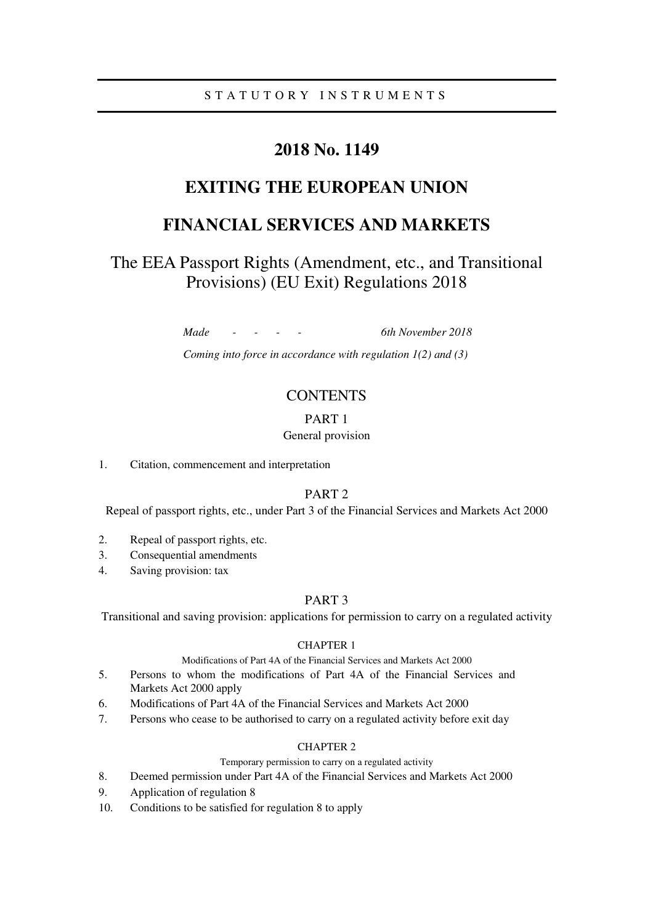# **2018 No. 1149**

# **EXITING THE EUROPEAN UNION**

# **FINANCIAL SERVICES AND MARKETS**

# The EEA Passport Rights (Amendment, etc., and Transitional Provisions) (EU Exit) Regulations 2018

*Made - - - - 6th November 2018* 

*Coming into force in accordance with regulation 1(2) and (3)* 

## **CONTENTS**

## PART 1

## General provision

### 1. Citation, commencement and interpretation

## PART 2

Repeal of passport rights, etc., under Part 3 of the Financial Services and Markets Act 2000

- 2. Repeal of passport rights, etc.
- 3. Consequential amendments
- 4. Saving provision: tax

## PART 3

Transitional and saving provision: applications for permission to carry on a regulated activity

## CHAPTER 1

Modifications of Part 4A of the Financial Services and Markets Act 2000

- 5. Persons to whom the modifications of Part 4A of the Financial Services and Markets Act 2000 apply
- 6. Modifications of Part 4A of the Financial Services and Markets Act 2000
- 7. Persons who cease to be authorised to carry on a regulated activity before exit day

## CHAPTER 2

## Temporary permission to carry on a regulated activity

- 8. Deemed permission under Part 4A of the Financial Services and Markets Act 2000
- 9. Application of regulation 8
- 10. Conditions to be satisfied for regulation 8 to apply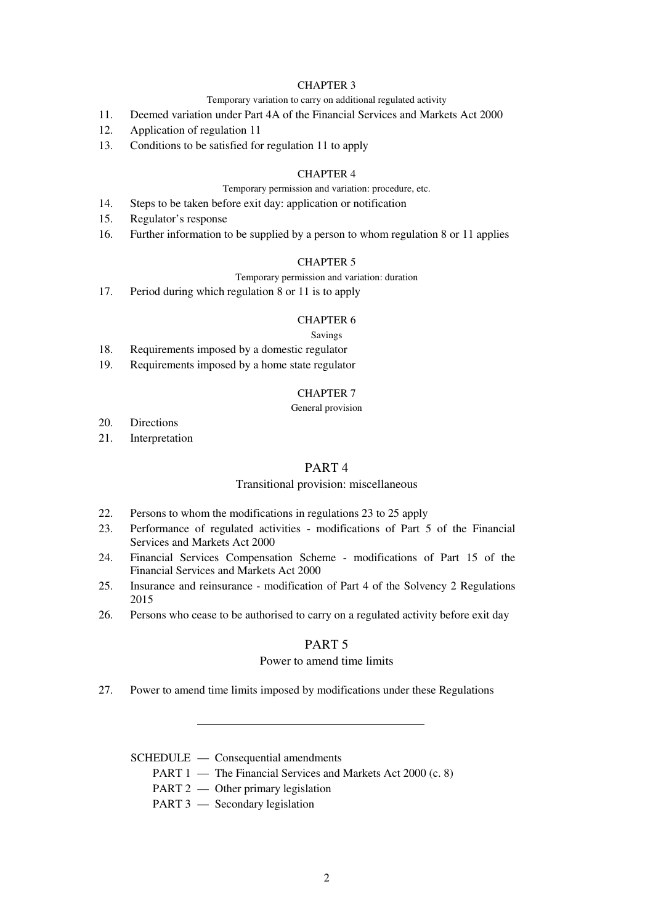## CHAPTER 3

#### Temporary variation to carry on additional regulated activity

- 11. Deemed variation under Part 4A of the Financial Services and Markets Act 2000
- 12. Application of regulation 11
- 13. Conditions to be satisfied for regulation 11 to apply

## CHAPTER 4

### Temporary permission and variation: procedure, etc.

- 14. Steps to be taken before exit day: application or notification
- 15. Regulator's response
- 16. Further information to be supplied by a person to whom regulation 8 or 11 applies

## CHAPTER 5

#### Temporary permission and variation: duration

17. Period during which regulation 8 or 11 is to apply

#### CHAPTER 6

#### Savings

- 18. Requirements imposed by a domestic regulator
- 19. Requirements imposed by a home state regulator

## CHAPTER 7

## General provision

- 20. Directions
- 21. Interpretation

## PART 4

### Transitional provision: miscellaneous

- 22. Persons to whom the modifications in regulations 23 to 25 apply
- 23. Performance of regulated activities modifications of Part 5 of the Financial Services and Markets Act 2000
- 24. Financial Services Compensation Scheme modifications of Part 15 of the Financial Services and Markets Act 2000
- 25. Insurance and reinsurance modification of Part 4 of the Solvency 2 Regulations 2015
- 26. Persons who cease to be authorised to carry on a regulated activity before exit day

## PART 5

### Power to amend time limits

27. Power to amend time limits imposed by modifications under these Regulations

### SCHEDULE — Consequential amendments

- PART 1 The Financial Services and Markets Act 2000 (c. 8)
- PART 2 Other primary legislation
- PART 3 Secondary legislation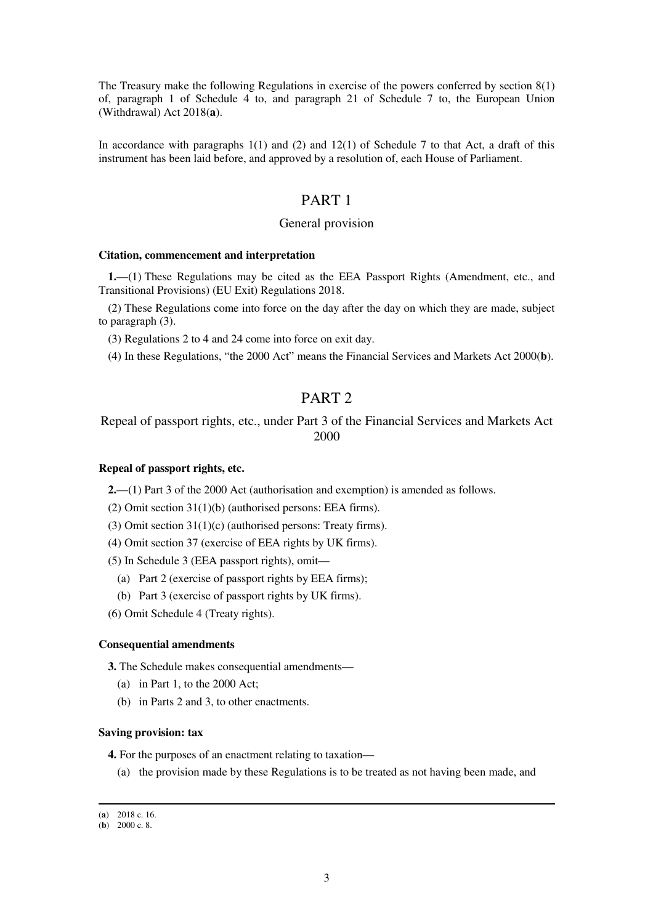The Treasury make the following Regulations in exercise of the powers conferred by section 8(1) of, paragraph 1 of Schedule 4 to, and paragraph 21 of Schedule 7 to, the European Union (Withdrawal) Act 2018(**a**).

In accordance with paragraphs  $1(1)$  and  $(2)$  and  $12(1)$  of Schedule 7 to that Act, a draft of this instrument has been laid before, and approved by a resolution of, each House of Parliament.

## PART 1

## General provision

#### **Citation, commencement and interpretation**

**1.**—(1) These Regulations may be cited as the EEA Passport Rights (Amendment, etc., and Transitional Provisions) (EU Exit) Regulations 2018.

(2) These Regulations come into force on the day after the day on which they are made, subject to paragraph (3).

(3) Regulations 2 to 4 and 24 come into force on exit day.

(4) In these Regulations, "the 2000 Act" means the Financial Services and Markets Act 2000(**b**).

## PART 2

Repeal of passport rights, etc., under Part 3 of the Financial Services and Markets Act 2000

## **Repeal of passport rights, etc.**

**2.**—(1) Part 3 of the 2000 Act (authorisation and exemption) is amended as follows.

(2) Omit section 31(1)(b) (authorised persons: EEA firms).

(3) Omit section 31(1)(c) (authorised persons: Treaty firms).

(4) Omit section 37 (exercise of EEA rights by UK firms).

(5) In Schedule 3 (EEA passport rights), omit—

- (a) Part 2 (exercise of passport rights by EEA firms);
- (b) Part 3 (exercise of passport rights by UK firms).

(6) Omit Schedule 4 (Treaty rights).

#### **Consequential amendments**

**3.** The Schedule makes consequential amendments—

- (a) in Part 1, to the 2000 Act;
- (b) in Parts 2 and 3, to other enactments.

#### **Saving provision: tax**

**4.** For the purposes of an enactment relating to taxation—

(a) the provision made by these Regulations is to be treated as not having been made, and

<sup>(</sup>**a**) 2018 c. 16.

 $(b)$  2000 c. 8.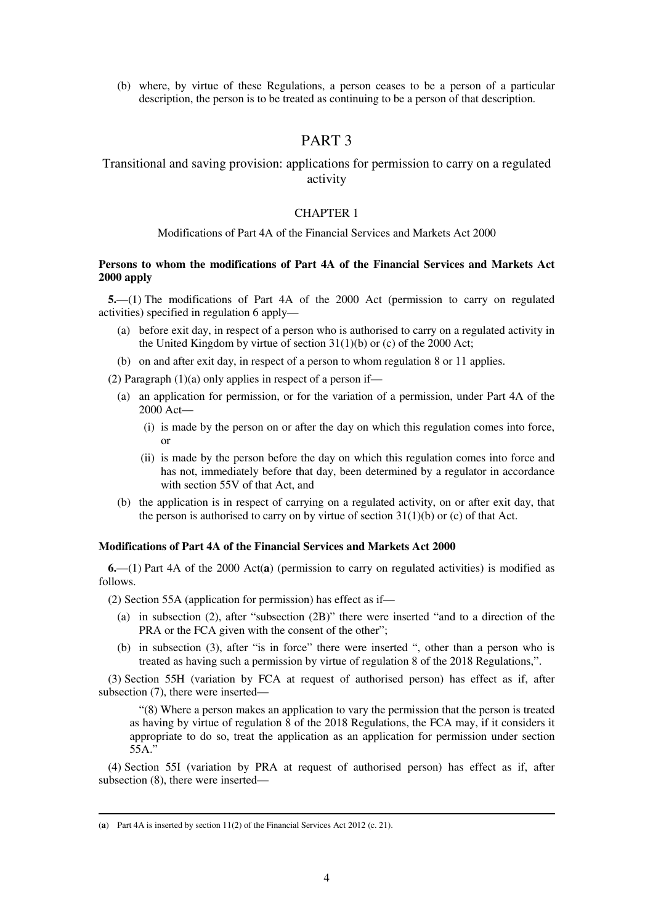(b) where, by virtue of these Regulations, a person ceases to be a person of a particular description, the person is to be treated as continuing to be a person of that description.

## PART 3

## Transitional and saving provision: applications for permission to carry on a regulated activity

### CHAPTER 1

### Modifications of Part 4A of the Financial Services and Markets Act 2000

## **Persons to whom the modifications of Part 4A of the Financial Services and Markets Act 2000 apply**

**5.**—(1) The modifications of Part 4A of the 2000 Act (permission to carry on regulated activities) specified in regulation 6 apply—

- (a) before exit day, in respect of a person who is authorised to carry on a regulated activity in the United Kingdom by virtue of section  $31(1)(b)$  or (c) of the 2000 Act;
- (b) on and after exit day, in respect of a person to whom regulation 8 or 11 applies.

(2) Paragraph  $(1)(a)$  only applies in respect of a person if—

- (a) an application for permission, or for the variation of a permission, under Part 4A of the 2000 Act—
	- (i) is made by the person on or after the day on which this regulation comes into force, or
	- (ii) is made by the person before the day on which this regulation comes into force and has not, immediately before that day, been determined by a regulator in accordance with section 55V of that Act, and
- (b) the application is in respect of carrying on a regulated activity, on or after exit day, that the person is authorised to carry on by virtue of section  $31(1)(b)$  or (c) of that Act.

## **Modifications of Part 4A of the Financial Services and Markets Act 2000**

**6.**—(1) Part 4A of the 2000 Act(**a**) (permission to carry on regulated activities) is modified as follows.

(2) Section 55A (application for permission) has effect as if—

- (a) in subsection (2), after "subsection (2B)" there were inserted "and to a direction of the PRA or the FCA given with the consent of the other";
- (b) in subsection (3), after "is in force" there were inserted ", other than a person who is treated as having such a permission by virtue of regulation 8 of the 2018 Regulations,".

(3) Section 55H (variation by FCA at request of authorised person) has effect as if, after subsection (7), there were inserted—

"(8) Where a person makes an application to vary the permission that the person is treated as having by virtue of regulation 8 of the 2018 Regulations, the FCA may, if it considers it appropriate to do so, treat the application as an application for permission under section 55A."

(4) Section 55I (variation by PRA at request of authorised person) has effect as if, after subsection (8), there were inserted—

<sup>(</sup>**a**) Part 4A is inserted by section 11(2) of the Financial Services Act 2012 (c. 21).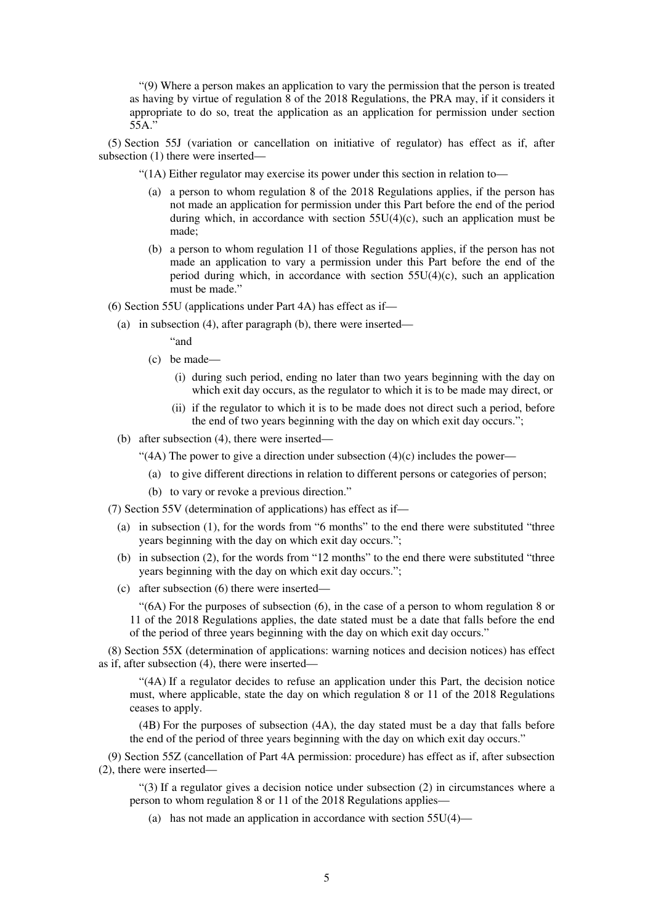"(9) Where a person makes an application to vary the permission that the person is treated as having by virtue of regulation 8 of the 2018 Regulations, the PRA may, if it considers it appropriate to do so, treat the application as an application for permission under section 55A."

(5) Section 55J (variation or cancellation on initiative of regulator) has effect as if, after subsection (1) there were inserted—

"(1A) Either regulator may exercise its power under this section in relation to—

- (a) a person to whom regulation 8 of the 2018 Regulations applies, if the person has not made an application for permission under this Part before the end of the period during which, in accordance with section  $55U(4)(c)$ , such an application must be made;
- (b) a person to whom regulation 11 of those Regulations applies, if the person has not made an application to vary a permission under this Part before the end of the period during which, in accordance with section  $55U(4)(c)$ , such an application must be made."
- (6) Section 55U (applications under Part 4A) has effect as if—
	- (a) in subsection (4), after paragraph (b), there were inserted—

"and

- (c) be made—
	- (i) during such period, ending no later than two years beginning with the day on which exit day occurs, as the regulator to which it is to be made may direct, or
	- (ii) if the regulator to which it is to be made does not direct such a period, before the end of two years beginning with the day on which exit day occurs.";
- (b) after subsection (4), there were inserted—
	- "(4A) The power to give a direction under subsection  $(4)(c)$  includes the power—
		- (a) to give different directions in relation to different persons or categories of person;
		- (b) to vary or revoke a previous direction."

(7) Section 55V (determination of applications) has effect as if—

- (a) in subsection (1), for the words from "6 months" to the end there were substituted "three years beginning with the day on which exit day occurs.";
- (b) in subsection (2), for the words from "12 months" to the end there were substituted "three years beginning with the day on which exit day occurs.";
- (c) after subsection (6) there were inserted—

"(6A) For the purposes of subsection (6), in the case of a person to whom regulation 8 or 11 of the 2018 Regulations applies, the date stated must be a date that falls before the end of the period of three years beginning with the day on which exit day occurs."

(8) Section 55X (determination of applications: warning notices and decision notices) has effect as if, after subsection (4), there were inserted—

"(4A) If a regulator decides to refuse an application under this Part, the decision notice must, where applicable, state the day on which regulation 8 or 11 of the 2018 Regulations ceases to apply.

(4B) For the purposes of subsection (4A), the day stated must be a day that falls before the end of the period of three years beginning with the day on which exit day occurs."

(9) Section 55Z (cancellation of Part 4A permission: procedure) has effect as if, after subsection (2), there were inserted—

"(3) If a regulator gives a decision notice under subsection (2) in circumstances where a person to whom regulation 8 or 11 of the 2018 Regulations applies—

(a) has not made an application in accordance with section  $55U(4)$ —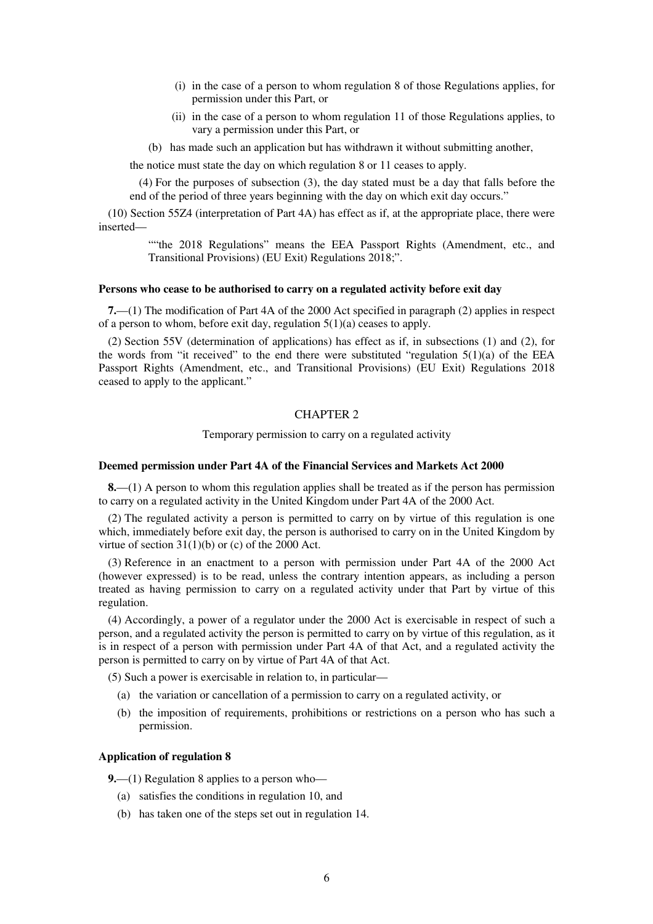- (i) in the case of a person to whom regulation 8 of those Regulations applies, for permission under this Part, or
- (ii) in the case of a person to whom regulation 11 of those Regulations applies, to vary a permission under this Part, or
- (b) has made such an application but has withdrawn it without submitting another,

the notice must state the day on which regulation 8 or 11 ceases to apply.

(4) For the purposes of subsection (3), the day stated must be a day that falls before the end of the period of three years beginning with the day on which exit day occurs."

(10) Section 55Z4 (interpretation of Part 4A) has effect as if, at the appropriate place, there were inserted—

> ""the 2018 Regulations" means the EEA Passport Rights (Amendment, etc., and Transitional Provisions) (EU Exit) Regulations 2018;".

#### **Persons who cease to be authorised to carry on a regulated activity before exit day**

**7.**—(1) The modification of Part 4A of the 2000 Act specified in paragraph (2) applies in respect of a person to whom, before exit day, regulation 5(1)(a) ceases to apply.

(2) Section 55V (determination of applications) has effect as if, in subsections (1) and (2), for the words from "it received" to the end there were substituted "regulation  $5(1)(a)$  of the EEA Passport Rights (Amendment, etc., and Transitional Provisions) (EU Exit) Regulations 2018 ceased to apply to the applicant."

## CHAPTER 2

Temporary permission to carry on a regulated activity

#### **Deemed permission under Part 4A of the Financial Services and Markets Act 2000**

**8.**—(1) A person to whom this regulation applies shall be treated as if the person has permission to carry on a regulated activity in the United Kingdom under Part 4A of the 2000 Act.

(2) The regulated activity a person is permitted to carry on by virtue of this regulation is one which, immediately before exit day, the person is authorised to carry on in the United Kingdom by virtue of section  $31(1)(b)$  or (c) of the 2000 Act.

(3) Reference in an enactment to a person with permission under Part 4A of the 2000 Act (however expressed) is to be read, unless the contrary intention appears, as including a person treated as having permission to carry on a regulated activity under that Part by virtue of this regulation.

(4) Accordingly, a power of a regulator under the 2000 Act is exercisable in respect of such a person, and a regulated activity the person is permitted to carry on by virtue of this regulation, as it is in respect of a person with permission under Part 4A of that Act, and a regulated activity the person is permitted to carry on by virtue of Part 4A of that Act.

(5) Such a power is exercisable in relation to, in particular—

- (a) the variation or cancellation of a permission to carry on a regulated activity, or
- (b) the imposition of requirements, prohibitions or restrictions on a person who has such a permission.

#### **Application of regulation 8**

**9.**—(1) Regulation 8 applies to a person who—

- (a) satisfies the conditions in regulation 10, and
- (b) has taken one of the steps set out in regulation 14.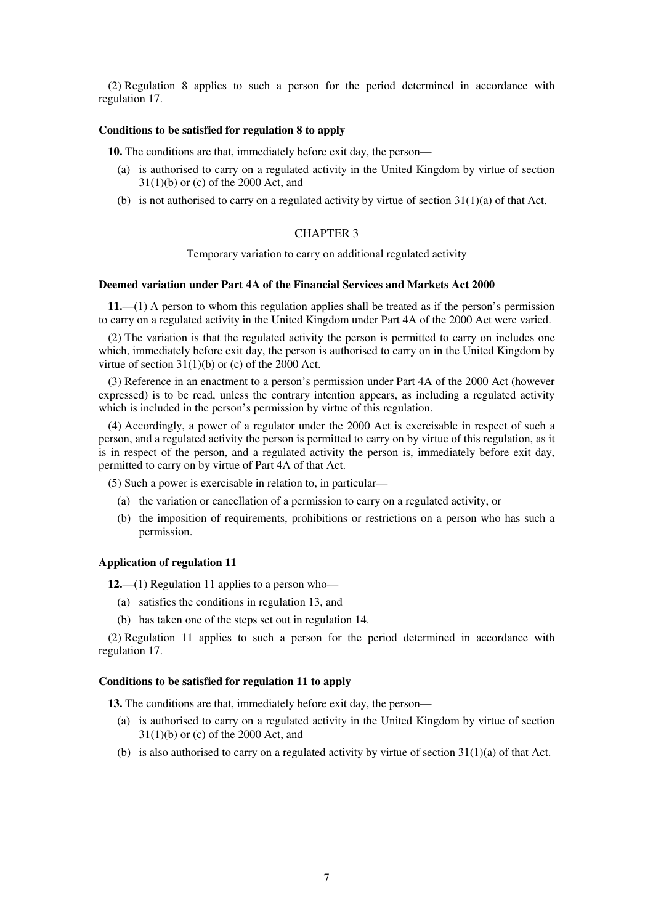(2) Regulation 8 applies to such a person for the period determined in accordance with regulation 17.

## **Conditions to be satisfied for regulation 8 to apply**

**10.** The conditions are that, immediately before exit day, the person—

- (a) is authorised to carry on a regulated activity in the United Kingdom by virtue of section 31(1)(b) or (c) of the 2000 Act, and
- (b) is not authorised to carry on a regulated activity by virtue of section  $31(1)(a)$  of that Act.

## CHAPTER 3

Temporary variation to carry on additional regulated activity

### **Deemed variation under Part 4A of the Financial Services and Markets Act 2000**

**11.**—(1) A person to whom this regulation applies shall be treated as if the person's permission to carry on a regulated activity in the United Kingdom under Part 4A of the 2000 Act were varied.

(2) The variation is that the regulated activity the person is permitted to carry on includes one which, immediately before exit day, the person is authorised to carry on in the United Kingdom by virtue of section  $31(1)(b)$  or (c) of the 2000 Act.

(3) Reference in an enactment to a person's permission under Part 4A of the 2000 Act (however expressed) is to be read, unless the contrary intention appears, as including a regulated activity which is included in the person's permission by virtue of this regulation.

(4) Accordingly, a power of a regulator under the 2000 Act is exercisable in respect of such a person, and a regulated activity the person is permitted to carry on by virtue of this regulation, as it is in respect of the person, and a regulated activity the person is, immediately before exit day, permitted to carry on by virtue of Part 4A of that Act.

(5) Such a power is exercisable in relation to, in particular—

- (a) the variation or cancellation of a permission to carry on a regulated activity, or
- (b) the imposition of requirements, prohibitions or restrictions on a person who has such a permission.

### **Application of regulation 11**

**12.**—(1) Regulation 11 applies to a person who—

- (a) satisfies the conditions in regulation 13, and
- (b) has taken one of the steps set out in regulation 14.

(2) Regulation 11 applies to such a person for the period determined in accordance with regulation 17.

#### **Conditions to be satisfied for regulation 11 to apply**

**13.** The conditions are that, immediately before exit day, the person—

- (a) is authorised to carry on a regulated activity in the United Kingdom by virtue of section 31(1)(b) or (c) of the 2000 Act, and
- (b) is also authorised to carry on a regulated activity by virtue of section  $31(1)(a)$  of that Act.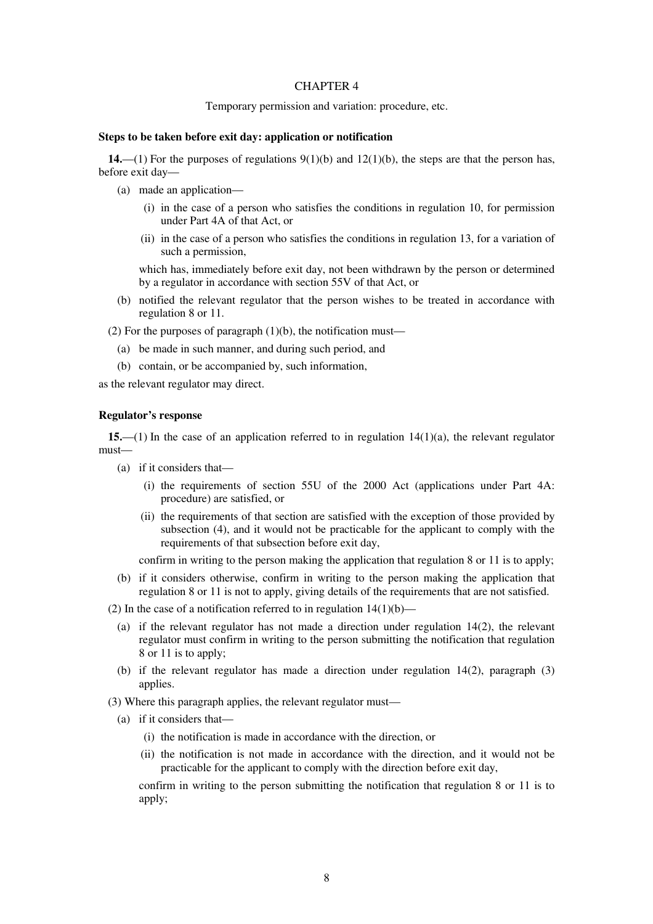## CHAPTER 4

#### Temporary permission and variation: procedure, etc.

#### **Steps to be taken before exit day: application or notification**

**14.**—(1) For the purposes of regulations  $9(1)(b)$  and  $12(1)(b)$ , the steps are that the person has, before exit day—

- (a) made an application—
	- (i) in the case of a person who satisfies the conditions in regulation 10, for permission under Part 4A of that Act, or
	- (ii) in the case of a person who satisfies the conditions in regulation 13, for a variation of such a permission,

which has, immediately before exit day, not been withdrawn by the person or determined by a regulator in accordance with section 55V of that Act, or

(b) notified the relevant regulator that the person wishes to be treated in accordance with regulation 8 or 11.

(2) For the purposes of paragraph  $(1)(b)$ , the notification must—

- (a) be made in such manner, and during such period, and
- (b) contain, or be accompanied by, such information,

as the relevant regulator may direct.

#### **Regulator's response**

**15.**—(1) In the case of an application referred to in regulation 14(1)(a), the relevant regulator must—

- (a) if it considers that—
	- (i) the requirements of section 55U of the 2000 Act (applications under Part 4A: procedure) are satisfied, or
	- (ii) the requirements of that section are satisfied with the exception of those provided by subsection (4), and it would not be practicable for the applicant to comply with the requirements of that subsection before exit day,

confirm in writing to the person making the application that regulation 8 or 11 is to apply;

- (b) if it considers otherwise, confirm in writing to the person making the application that regulation 8 or 11 is not to apply, giving details of the requirements that are not satisfied.
- (2) In the case of a notification referred to in regulation  $14(1)(b)$ 
	- (a) if the relevant regulator has not made a direction under regulation 14(2), the relevant regulator must confirm in writing to the person submitting the notification that regulation 8 or 11 is to apply;
	- (b) if the relevant regulator has made a direction under regulation  $14(2)$ , paragraph  $(3)$ applies.
- (3) Where this paragraph applies, the relevant regulator must—
	- (a) if it considers that—
		- (i) the notification is made in accordance with the direction, or
		- (ii) the notification is not made in accordance with the direction, and it would not be practicable for the applicant to comply with the direction before exit day,

confirm in writing to the person submitting the notification that regulation 8 or 11 is to apply;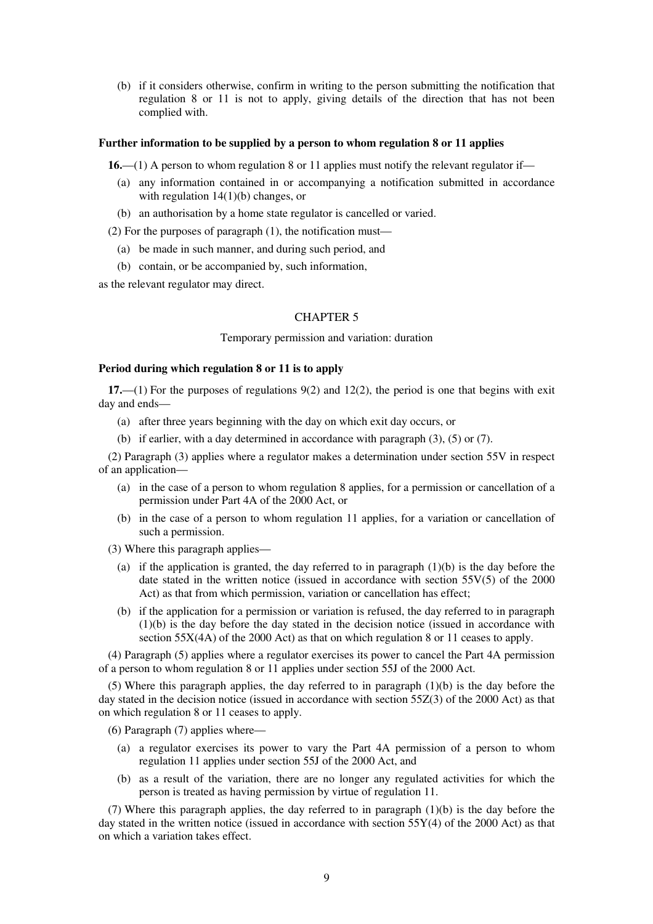(b) if it considers otherwise, confirm in writing to the person submitting the notification that regulation 8 or 11 is not to apply, giving details of the direction that has not been complied with.

#### **Further information to be supplied by a person to whom regulation 8 or 11 applies**

**16.**—(1) A person to whom regulation 8 or 11 applies must notify the relevant regulator if—

- (a) any information contained in or accompanying a notification submitted in accordance with regulation  $14(1)(b)$  changes, or
- (b) an authorisation by a home state regulator is cancelled or varied.

(2) For the purposes of paragraph (1), the notification must—

- (a) be made in such manner, and during such period, and
- (b) contain, or be accompanied by, such information,

as the relevant regulator may direct.

## CHAPTER 5

## Temporary permission and variation: duration

### **Period during which regulation 8 or 11 is to apply**

**17.**—(1) For the purposes of regulations 9(2) and 12(2), the period is one that begins with exit day and ends—

- (a) after three years beginning with the day on which exit day occurs, or
- (b) if earlier, with a day determined in accordance with paragraph (3), (5) or (7).

(2) Paragraph (3) applies where a regulator makes a determination under section 55V in respect of an application—

- (a) in the case of a person to whom regulation 8 applies, for a permission or cancellation of a permission under Part 4A of the 2000 Act, or
- (b) in the case of a person to whom regulation 11 applies, for a variation or cancellation of such a permission.
- (3) Where this paragraph applies—
	- (a) if the application is granted, the day referred to in paragraph (1)(b) is the day before the date stated in the written notice (issued in accordance with section 55V(5) of the 2000 Act) as that from which permission, variation or cancellation has effect;
	- (b) if the application for a permission or variation is refused, the day referred to in paragraph (1)(b) is the day before the day stated in the decision notice (issued in accordance with section 55X(4A) of the 2000 Act) as that on which regulation 8 or 11 ceases to apply.

(4) Paragraph (5) applies where a regulator exercises its power to cancel the Part 4A permission of a person to whom regulation 8 or 11 applies under section 55J of the 2000 Act.

(5) Where this paragraph applies, the day referred to in paragraph (1)(b) is the day before the day stated in the decision notice (issued in accordance with section 55Z(3) of the 2000 Act) as that on which regulation 8 or 11 ceases to apply.

(6) Paragraph (7) applies where—

- (a) a regulator exercises its power to vary the Part 4A permission of a person to whom regulation 11 applies under section 55J of the 2000 Act, and
- (b) as a result of the variation, there are no longer any regulated activities for which the person is treated as having permission by virtue of regulation 11.

(7) Where this paragraph applies, the day referred to in paragraph (1)(b) is the day before the day stated in the written notice (issued in accordance with section  $55Y(4)$  of the 2000 Act) as that on which a variation takes effect.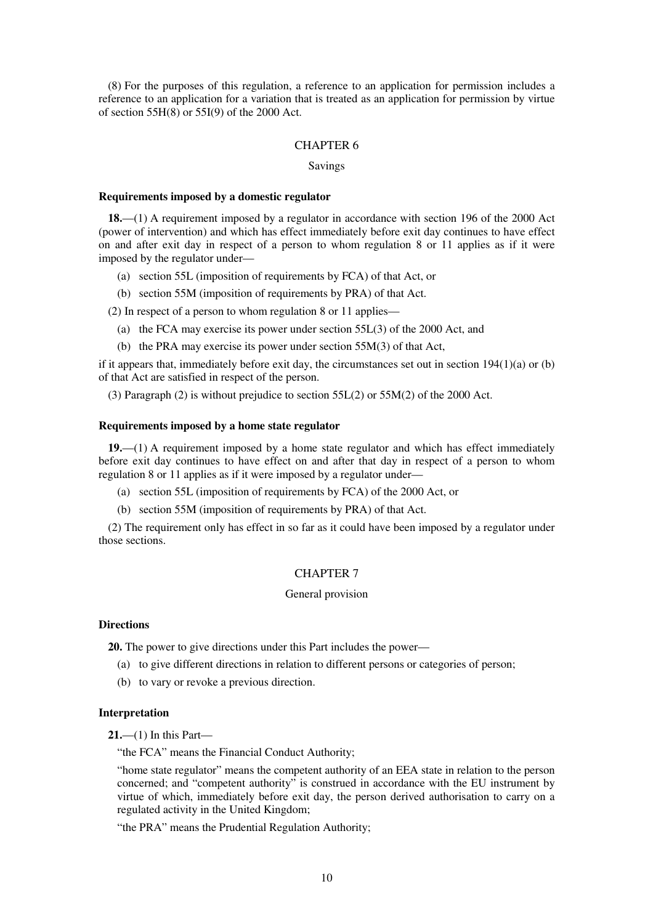(8) For the purposes of this regulation, a reference to an application for permission includes a reference to an application for a variation that is treated as an application for permission by virtue of section 55H(8) or 55I(9) of the 2000 Act.

#### CHAPTER 6

### Savings

#### **Requirements imposed by a domestic regulator**

**18.**—(1) A requirement imposed by a regulator in accordance with section 196 of the 2000 Act (power of intervention) and which has effect immediately before exit day continues to have effect on and after exit day in respect of a person to whom regulation 8 or 11 applies as if it were imposed by the regulator under—

- (a) section 55L (imposition of requirements by FCA) of that Act, or
- (b) section 55M (imposition of requirements by PRA) of that Act.

(2) In respect of a person to whom regulation 8 or 11 applies—

- (a) the FCA may exercise its power under section 55L(3) of the 2000 Act, and
- (b) the PRA may exercise its power under section 55M(3) of that Act,

if it appears that, immediately before exit day, the circumstances set out in section 194(1)(a) or (b) of that Act are satisfied in respect of the person.

(3) Paragraph (2) is without prejudice to section 55L(2) or 55M(2) of the 2000 Act.

#### **Requirements imposed by a home state regulator**

**19.**—(1) A requirement imposed by a home state regulator and which has effect immediately before exit day continues to have effect on and after that day in respect of a person to whom regulation 8 or 11 applies as if it were imposed by a regulator under—

- (a) section 55L (imposition of requirements by FCA) of the 2000 Act, or
- (b) section 55M (imposition of requirements by PRA) of that Act.

(2) The requirement only has effect in so far as it could have been imposed by a regulator under those sections.

### CHAPTER 7

#### General provision

### **Directions**

**20.** The power to give directions under this Part includes the power—

- (a) to give different directions in relation to different persons or categories of person;
- (b) to vary or revoke a previous direction.

#### **Interpretation**

**21.**—(1) In this Part—

"the FCA" means the Financial Conduct Authority;

"home state regulator" means the competent authority of an EEA state in relation to the person concerned; and "competent authority" is construed in accordance with the EU instrument by virtue of which, immediately before exit day, the person derived authorisation to carry on a regulated activity in the United Kingdom;

"the PRA" means the Prudential Regulation Authority;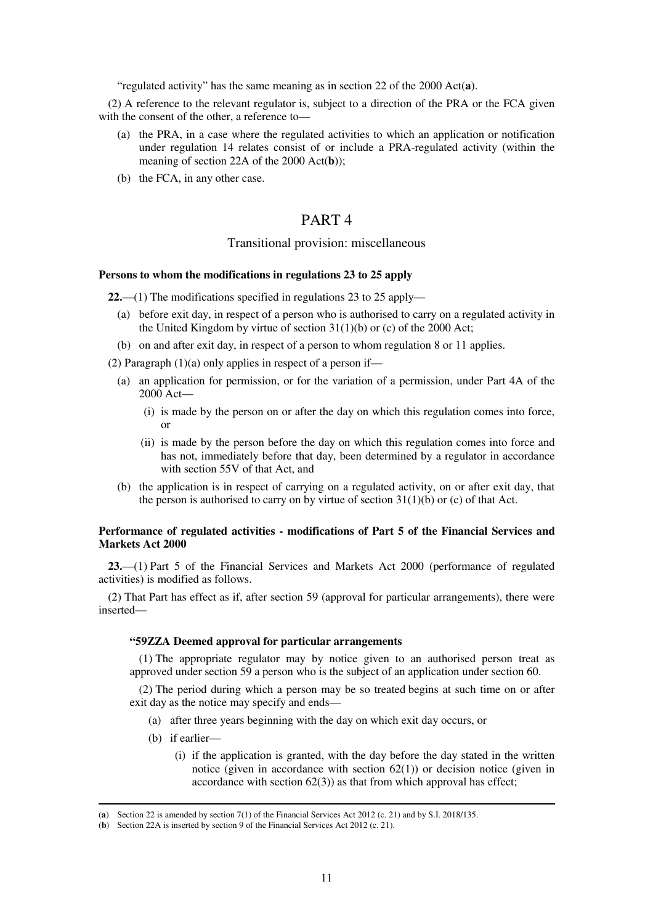"regulated activity" has the same meaning as in section 22 of the 2000 Act(**a**).

(2) A reference to the relevant regulator is, subject to a direction of the PRA or the FCA given with the consent of the other, a reference to—

- (a) the PRA, in a case where the regulated activities to which an application or notification under regulation 14 relates consist of or include a PRA-regulated activity (within the meaning of section 22A of the 2000 Act(**b**));
- (b) the FCA, in any other case.

## PART 4

### Transitional provision: miscellaneous

### **Persons to whom the modifications in regulations 23 to 25 apply**

**22.**—(1) The modifications specified in regulations 23 to 25 apply—

- (a) before exit day, in respect of a person who is authorised to carry on a regulated activity in the United Kingdom by virtue of section  $31(1)(b)$  or (c) of the 2000 Act;
- (b) on and after exit day, in respect of a person to whom regulation 8 or 11 applies.

(2) Paragraph  $(1)(a)$  only applies in respect of a person if—

- (a) an application for permission, or for the variation of a permission, under Part 4A of the 2000 Act—
	- (i) is made by the person on or after the day on which this regulation comes into force, or
	- (ii) is made by the person before the day on which this regulation comes into force and has not, immediately before that day, been determined by a regulator in accordance with section 55V of that Act, and
- (b) the application is in respect of carrying on a regulated activity, on or after exit day, that the person is authorised to carry on by virtue of section  $31(1)(b)$  or (c) of that Act.

### **Performance of regulated activities - modifications of Part 5 of the Financial Services and Markets Act 2000**

**23.**—(1) Part 5 of the Financial Services and Markets Act 2000 (performance of regulated activities) is modified as follows.

(2) That Part has effect as if, after section 59 (approval for particular arrangements), there were inserted—

## **"59ZZA Deemed approval for particular arrangements**

(1) The appropriate regulator may by notice given to an authorised person treat as approved under section 59 a person who is the subject of an application under section 60.

(2) The period during which a person may be so treated begins at such time on or after exit day as the notice may specify and ends—

- (a) after three years beginning with the day on which exit day occurs, or
- (b) if earlier—

-

 (i) if the application is granted, with the day before the day stated in the written notice (given in accordance with section  $62(1)$ ) or decision notice (given in accordance with section  $62(3)$  as that from which approval has effect;

<sup>(</sup>**a**) Section 22 is amended by section 7(1) of the Financial Services Act 2012 (c. 21) and by S.I. 2018/135.

<sup>(</sup>**b**) Section 22A is inserted by section 9 of the Financial Services Act 2012 (c. 21).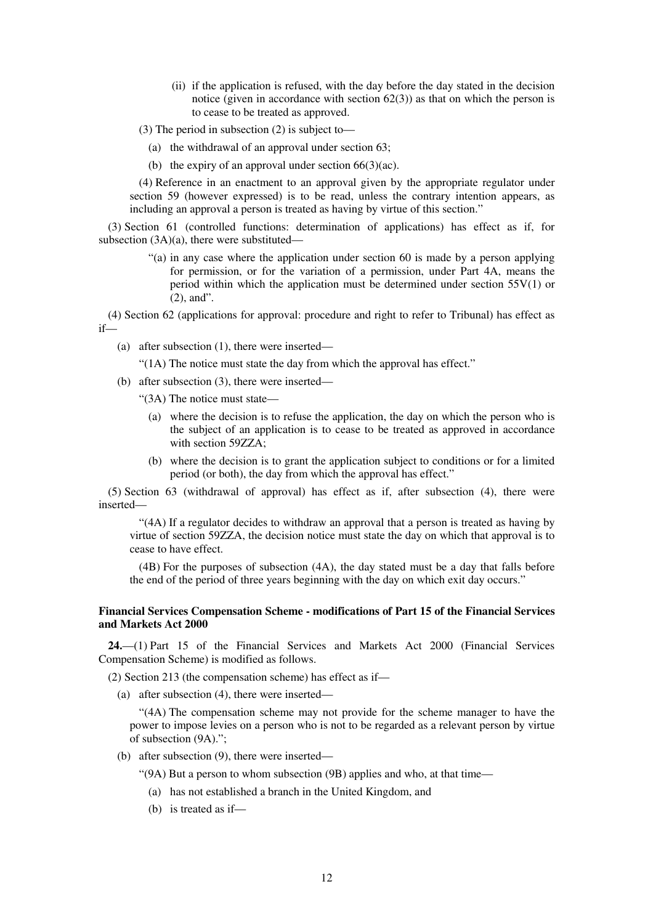- (ii) if the application is refused, with the day before the day stated in the decision notice (given in accordance with section  $62(3)$ ) as that on which the person is to cease to be treated as approved.
- (3) The period in subsection (2) is subject to—
	- (a) the withdrawal of an approval under section 63;
	- (b) the expiry of an approval under section 66(3)(ac).

(4) Reference in an enactment to an approval given by the appropriate regulator under section 59 (however expressed) is to be read, unless the contrary intention appears, as including an approval a person is treated as having by virtue of this section."

(3) Section 61 (controlled functions: determination of applications) has effect as if, for subsection (3A)(a), there were substituted—

> "(a) in any case where the application under section 60 is made by a person applying for permission, or for the variation of a permission, under Part 4A, means the period within which the application must be determined under section 55V(1) or (2), and".

(4) Section 62 (applications for approval: procedure and right to refer to Tribunal) has effect as if—

- (a) after subsection (1), there were inserted—
	- "(1A) The notice must state the day from which the approval has effect."

(b) after subsection (3), there were inserted—

"(3A) The notice must state—

- (a) where the decision is to refuse the application, the day on which the person who is the subject of an application is to cease to be treated as approved in accordance with section 59ZZA;
- (b) where the decision is to grant the application subject to conditions or for a limited period (or both), the day from which the approval has effect."

(5) Section 63 (withdrawal of approval) has effect as if, after subsection (4), there were inserted—

"(4A) If a regulator decides to withdraw an approval that a person is treated as having by virtue of section 59ZZA, the decision notice must state the day on which that approval is to cease to have effect.

(4B) For the purposes of subsection (4A), the day stated must be a day that falls before the end of the period of three years beginning with the day on which exit day occurs."

## **Financial Services Compensation Scheme - modifications of Part 15 of the Financial Services and Markets Act 2000**

**24.**—(1) Part 15 of the Financial Services and Markets Act 2000 (Financial Services Compensation Scheme) is modified as follows.

(2) Section 213 (the compensation scheme) has effect as if—

(a) after subsection (4), there were inserted—

"(4A) The compensation scheme may not provide for the scheme manager to have the power to impose levies on a person who is not to be regarded as a relevant person by virtue of subsection (9A).";

(b) after subsection (9), there were inserted—

"(9A) But a person to whom subsection (9B) applies and who, at that time—

- (a) has not established a branch in the United Kingdom, and
- (b) is treated as if—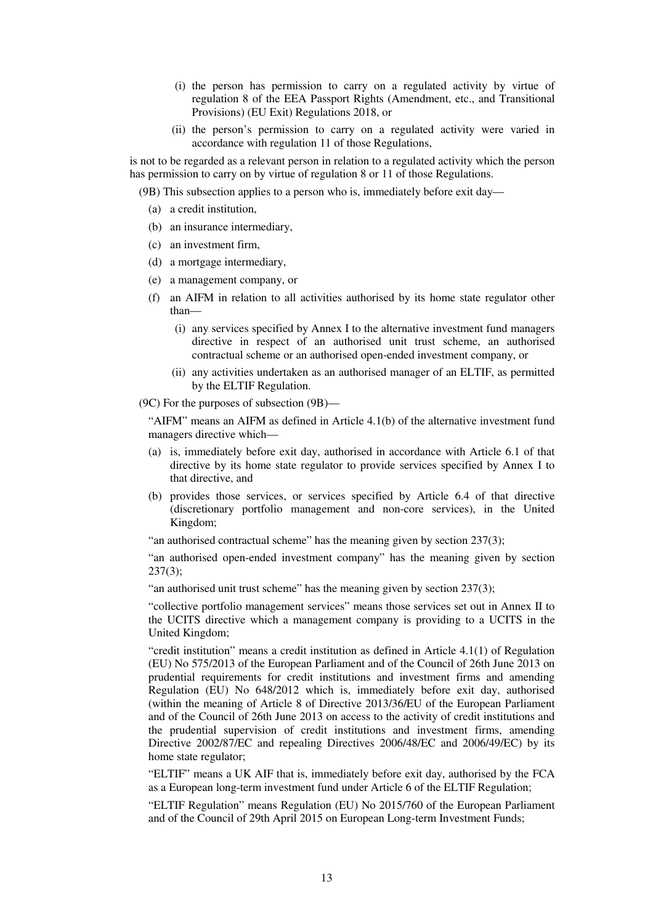- (i) the person has permission to carry on a regulated activity by virtue of regulation 8 of the EEA Passport Rights (Amendment, etc., and Transitional Provisions) (EU Exit) Regulations 2018, or
- (ii) the person's permission to carry on a regulated activity were varied in accordance with regulation 11 of those Regulations,

is not to be regarded as a relevant person in relation to a regulated activity which the person has permission to carry on by virtue of regulation 8 or 11 of those Regulations.

(9B) This subsection applies to a person who is, immediately before exit day—

- (a) a credit institution,
- (b) an insurance intermediary,
- (c) an investment firm,
- (d) a mortgage intermediary,
- (e) a management company, or
- (f) an AIFM in relation to all activities authorised by its home state regulator other than—
	- (i) any services specified by Annex I to the alternative investment fund managers directive in respect of an authorised unit trust scheme, an authorised contractual scheme or an authorised open-ended investment company, or
	- (ii) any activities undertaken as an authorised manager of an ELTIF, as permitted by the ELTIF Regulation.

(9C) For the purposes of subsection (9B)—

"AIFM" means an AIFM as defined in Article 4.1(b) of the alternative investment fund managers directive which—

- (a) is, immediately before exit day, authorised in accordance with Article 6.1 of that directive by its home state regulator to provide services specified by Annex I to that directive, and
- (b) provides those services, or services specified by Article 6.4 of that directive (discretionary portfolio management and non-core services), in the United Kingdom;

"an authorised contractual scheme" has the meaning given by section  $237(3)$ ;

"an authorised open-ended investment company" has the meaning given by section  $237(3);$ 

"an authorised unit trust scheme" has the meaning given by section 237(3);

"collective portfolio management services" means those services set out in Annex II to the UCITS directive which a management company is providing to a UCITS in the United Kingdom;

"credit institution" means a credit institution as defined in Article 4.1(1) of Regulation (EU) No 575/2013 of the European Parliament and of the Council of 26th June 2013 on prudential requirements for credit institutions and investment firms and amending Regulation (EU) No 648/2012 which is, immediately before exit day, authorised (within the meaning of Article 8 of Directive 2013/36/EU of the European Parliament and of the Council of 26th June 2013 on access to the activity of credit institutions and the prudential supervision of credit institutions and investment firms, amending Directive 2002/87/EC and repealing Directives 2006/48/EC and 2006/49/EC) by its home state regulator;

"ELTIF" means a UK AIF that is, immediately before exit day, authorised by the FCA as a European long-term investment fund under Article 6 of the ELTIF Regulation;

"ELTIF Regulation" means Regulation (EU) No 2015/760 of the European Parliament and of the Council of 29th April 2015 on European Long-term Investment Funds;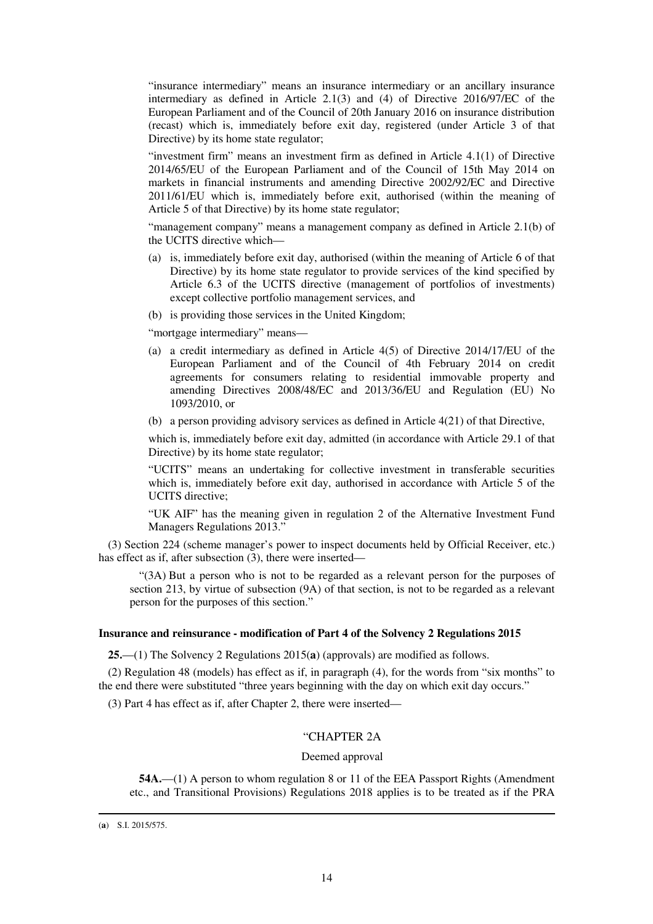"insurance intermediary" means an insurance intermediary or an ancillary insurance intermediary as defined in Article 2.1(3) and (4) of Directive 2016/97/EC of the European Parliament and of the Council of 20th January 2016 on insurance distribution (recast) which is, immediately before exit day, registered (under Article 3 of that Directive) by its home state regulator;

"investment firm" means an investment firm as defined in Article 4.1(1) of Directive 2014/65/EU of the European Parliament and of the Council of 15th May 2014 on markets in financial instruments and amending Directive 2002/92/EC and Directive 2011/61/EU which is, immediately before exit, authorised (within the meaning of Article 5 of that Directive) by its home state regulator;

"management company" means a management company as defined in Article 2.1(b) of the UCITS directive which—

- (a) is, immediately before exit day, authorised (within the meaning of Article 6 of that Directive) by its home state regulator to provide services of the kind specified by Article 6.3 of the UCITS directive (management of portfolios of investments) except collective portfolio management services, and
- (b) is providing those services in the United Kingdom;

"mortgage intermediary" means—

- (a) a credit intermediary as defined in Article 4(5) of Directive 2014/17/EU of the European Parliament and of the Council of 4th February 2014 on credit agreements for consumers relating to residential immovable property and amending Directives 2008/48/EC and 2013/36/EU and Regulation (EU) No 1093/2010, or
- (b) a person providing advisory services as defined in Article 4(21) of that Directive,

which is, immediately before exit day, admitted (in accordance with Article 29.1 of that Directive) by its home state regulator;

"UCITS" means an undertaking for collective investment in transferable securities which is, immediately before exit day, authorised in accordance with Article 5 of the UCITS directive;

"UK AIF" has the meaning given in regulation 2 of the Alternative Investment Fund Managers Regulations 2013."

(3) Section 224 (scheme manager's power to inspect documents held by Official Receiver, etc.) has effect as if, after subsection (3), there were inserted—

"(3A) But a person who is not to be regarded as a relevant person for the purposes of section 213, by virtue of subsection (9A) of that section, is not to be regarded as a relevant person for the purposes of this section."

#### **Insurance and reinsurance - modification of Part 4 of the Solvency 2 Regulations 2015**

**25.**—(1) The Solvency 2 Regulations 2015(**a**) (approvals) are modified as follows.

(2) Regulation 48 (models) has effect as if, in paragraph (4), for the words from "six months" to the end there were substituted "three years beginning with the day on which exit day occurs."

(3) Part 4 has effect as if, after Chapter 2, there were inserted—

## "CHAPTER 2A

#### Deemed approval

**54A.**—(1) A person to whom regulation 8 or 11 of the EEA Passport Rights (Amendment etc., and Transitional Provisions) Regulations 2018 applies is to be treated as if the PRA

<sup>(</sup>**a**) S.I. 2015/575.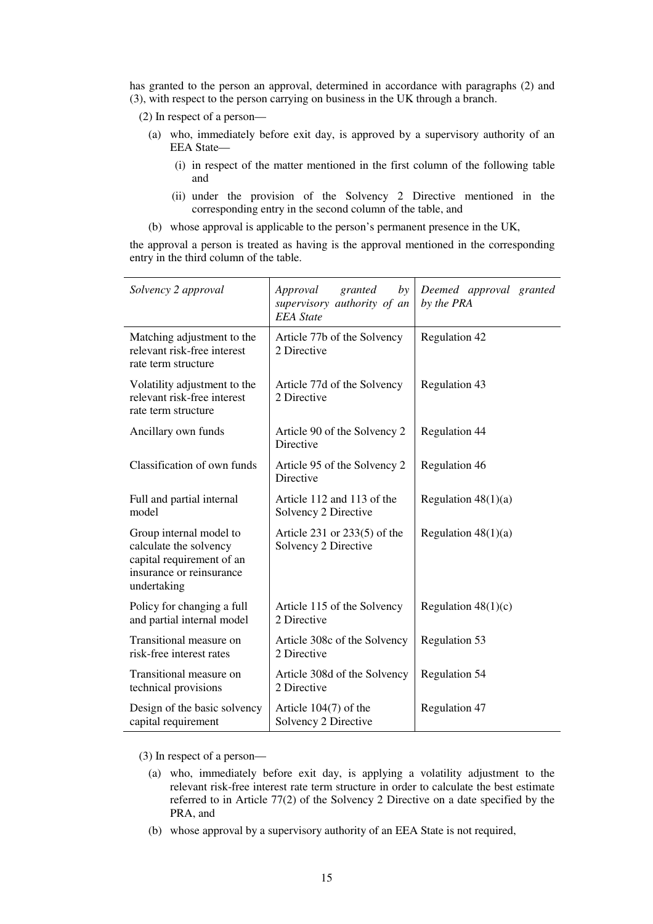has granted to the person an approval, determined in accordance with paragraphs (2) and (3), with respect to the person carrying on business in the UK through a branch.

(2) In respect of a person—

- (a) who, immediately before exit day, is approved by a supervisory authority of an EEA State—
	- (i) in respect of the matter mentioned in the first column of the following table and
	- (ii) under the provision of the Solvency 2 Directive mentioned in the corresponding entry in the second column of the table, and
- (b) whose approval is applicable to the person's permanent presence in the UK,

the approval a person is treated as having is the approval mentioned in the corresponding entry in the third column of the table.

| Solvency 2 approval                                                                                                       | Approval<br>granted<br>by<br>supervisory authority of an<br><b>EEA</b> State | Deemed approval granted<br>by the PRA |
|---------------------------------------------------------------------------------------------------------------------------|------------------------------------------------------------------------------|---------------------------------------|
| Matching adjustment to the<br>relevant risk-free interest<br>rate term structure                                          | Article 77b of the Solvency<br>2 Directive                                   | Regulation 42                         |
| Volatility adjustment to the<br>relevant risk-free interest<br>rate term structure                                        | Article 77d of the Solvency<br>2 Directive                                   | Regulation 43                         |
| Ancillary own funds                                                                                                       | Article 90 of the Solvency 2<br>Directive                                    | <b>Regulation 44</b>                  |
| Classification of own funds                                                                                               | Article 95 of the Solvency 2<br>Directive                                    | Regulation 46                         |
| Full and partial internal<br>model                                                                                        | Article 112 and 113 of the<br>Solvency 2 Directive                           | Regulation $48(1)(a)$                 |
| Group internal model to<br>calculate the solvency<br>capital requirement of an<br>insurance or reinsurance<br>undertaking | Article 231 or $233(5)$ of the<br>Solvency 2 Directive                       | Regulation $48(1)(a)$                 |
| Policy for changing a full<br>and partial internal model                                                                  | Article 115 of the Solvency<br>2 Directive                                   | Regulation $48(1)(c)$                 |
| Transitional measure on<br>risk-free interest rates                                                                       | Article 308c of the Solvency<br>2 Directive                                  | Regulation 53                         |
| Transitional measure on<br>technical provisions                                                                           | Article 308d of the Solvency<br>2 Directive                                  | Regulation 54                         |
| Design of the basic solvency<br>capital requirement                                                                       | Article $104(7)$ of the<br>Solvency 2 Directive                              | Regulation 47                         |

(3) In respect of a person—

- (a) who, immediately before exit day, is applying a volatility adjustment to the relevant risk-free interest rate term structure in order to calculate the best estimate referred to in Article 77(2) of the Solvency 2 Directive on a date specified by the PRA, and
- (b) whose approval by a supervisory authority of an EEA State is not required,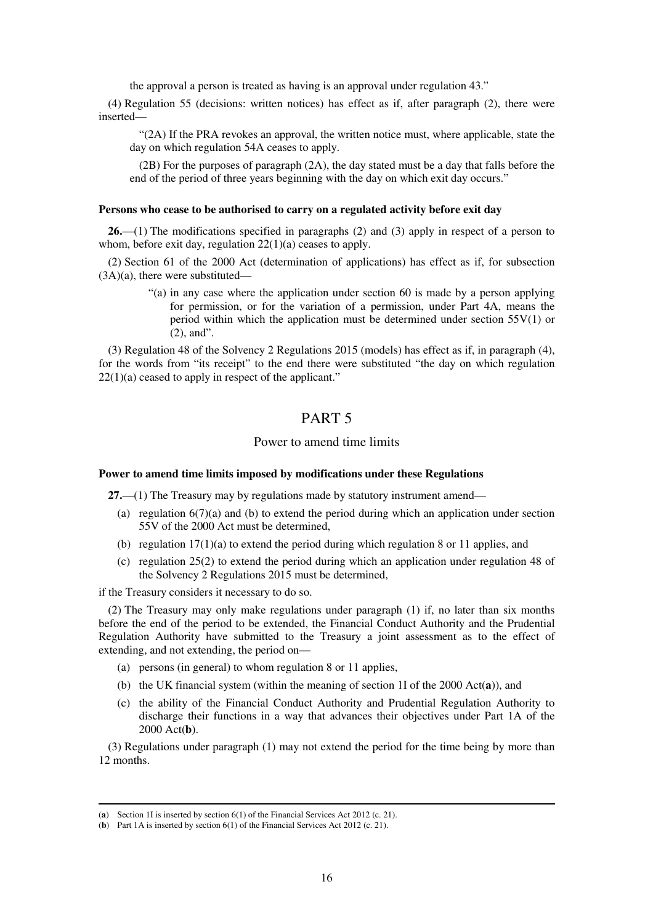the approval a person is treated as having is an approval under regulation 43."

(4) Regulation 55 (decisions: written notices) has effect as if, after paragraph (2), there were inserted—

"(2A) If the PRA revokes an approval, the written notice must, where applicable, state the day on which regulation 54A ceases to apply.

(2B) For the purposes of paragraph (2A), the day stated must be a day that falls before the end of the period of three years beginning with the day on which exit day occurs."

#### **Persons who cease to be authorised to carry on a regulated activity before exit day**

**26.**—(1) The modifications specified in paragraphs (2) and (3) apply in respect of a person to whom, before exit day, regulation  $22(1)(a)$  ceases to apply.

(2) Section 61 of the 2000 Act (determination of applications) has effect as if, for subsection (3A)(a), there were substituted—

> "(a) in any case where the application under section 60 is made by a person applying for permission, or for the variation of a permission, under Part 4A, means the period within which the application must be determined under section 55V(1) or (2), and".

(3) Regulation 48 of the Solvency 2 Regulations 2015 (models) has effect as if, in paragraph (4), for the words from "its receipt" to the end there were substituted "the day on which regulation 22(1)(a) ceased to apply in respect of the applicant."

## PART 5

## Power to amend time limits

## **Power to amend time limits imposed by modifications under these Regulations**

**27.**—(1) The Treasury may by regulations made by statutory instrument amend—

- (a) regulation  $6(7)(a)$  and (b) to extend the period during which an application under section 55V of the 2000 Act must be determined,
- (b) regulation  $17(1)(a)$  to extend the period during which regulation 8 or 11 applies, and
- (c) regulation 25(2) to extend the period during which an application under regulation 48 of the Solvency 2 Regulations 2015 must be determined,

if the Treasury considers it necessary to do so.

-

(2) The Treasury may only make regulations under paragraph (1) if, no later than six months before the end of the period to be extended, the Financial Conduct Authority and the Prudential Regulation Authority have submitted to the Treasury a joint assessment as to the effect of extending, and not extending, the period on—

- (a) persons (in general) to whom regulation 8 or 11 applies,
- (b) the UK financial system (within the meaning of section 1I of the 2000 Act(**a**)), and
- (c) the ability of the Financial Conduct Authority and Prudential Regulation Authority to discharge their functions in a way that advances their objectives under Part 1A of the 2000 Act(**b**).

(3) Regulations under paragraph (1) may not extend the period for the time being by more than 12 months.

<sup>(</sup>**a**) Section 1I is inserted by section 6(1) of the Financial Services Act 2012 (c. 21).

<sup>(</sup>**b**) Part 1A is inserted by section 6(1) of the Financial Services Act 2012 (c. 21).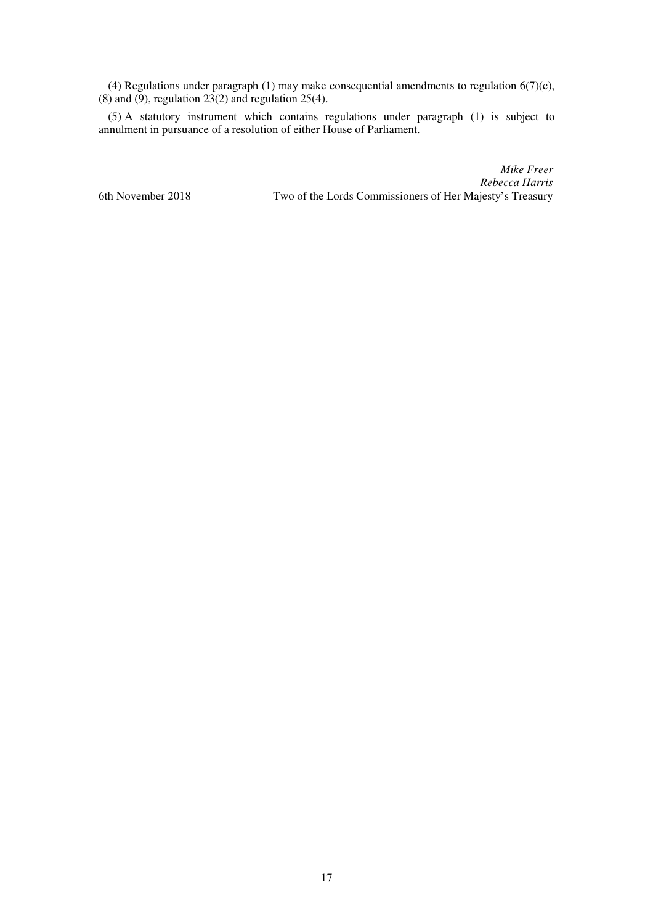(4) Regulations under paragraph (1) may make consequential amendments to regulation  $6(7)(c)$ ,  $(8)$  and  $(9)$ , regulation 23 $(2)$  and regulation 25 $(4)$ .

(5) A statutory instrument which contains regulations under paragraph (1) is subject to annulment in pursuance of a resolution of either House of Parliament.

*Mike Freer Rebecca Harris*  6th November 2018 Two of the Lords Commissioners of Her Majesty's Treasury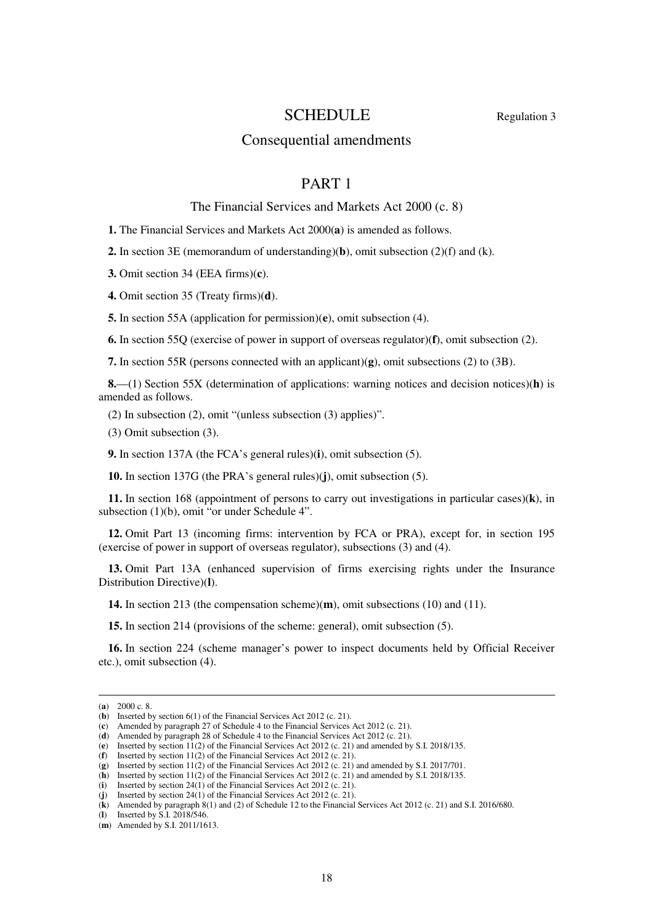## SCHEDULE Regulation 3

## Consequential amendments

## PART 1

## The Financial Services and Markets Act 2000 (c. 8)

**1.** The Financial Services and Markets Act 2000(**a**) is amended as follows.

**2.** In section 3E (memorandum of understanding)(**b**), omit subsection (2)(f) and (k).

**3.** Omit section 34 (EEA firms)(**c**).

**4.** Omit section 35 (Treaty firms)(**d**).

**5.** In section 55A (application for permission)(**e**), omit subsection (4).

**6.** In section 55Q (exercise of power in support of overseas regulator)(**f**), omit subsection (2).

**7.** In section 55R (persons connected with an applicant)(**g**), omit subsections (2) to (3B).

**8.**—(1) Section 55X (determination of applications: warning notices and decision notices)(**h**) is amended as follows.

(2) In subsection (2), omit "(unless subsection (3) applies)".

(3) Omit subsection (3).

**9.** In section 137A (the FCA's general rules)(**i**), omit subsection (5).

**10.** In section 137G (the PRA's general rules)(**j**), omit subsection (5).

**11.** In section 168 (appointment of persons to carry out investigations in particular cases)(**k**), in subsection (1)(b), omit "or under Schedule 4".

**12.** Omit Part 13 (incoming firms: intervention by FCA or PRA), except for, in section 195 (exercise of power in support of overseas regulator), subsections (3) and (4).

**13.** Omit Part 13A (enhanced supervision of firms exercising rights under the Insurance Distribution Directive)(**l**).

**14.** In section 213 (the compensation scheme)(**m**), omit subsections (10) and (11).

**15.** In section 214 (provisions of the scheme: general), omit subsection (5).

**16.** In section 224 (scheme manager's power to inspect documents held by Official Receiver etc.), omit subsection (4).

<sup>(</sup>**a**) 2000 c. 8.

<sup>(</sup>**b**) Inserted by section 6(1) of the Financial Services Act 2012 (c. 21).

<sup>(</sup>**c**) Amended by paragraph 27 of Schedule 4 to the Financial Services Act 2012 (c. 21).

<sup>(</sup>**d**) Amended by paragraph 28 of Schedule 4 to the Financial Services Act 2012 (c. 21).

<sup>(</sup>**e**) Inserted by section 11(2) of the Financial Services Act 2012 (c. 21) and amended by S.I. 2018/135.

<sup>(</sup>**f**) Inserted by section 11(2) of the Financial Services Act 2012 (c. 21).

<sup>(</sup>**g**) Inserted by section 11(2) of the Financial Services Act 2012 (c. 21) and amended by S.I. 2017/701.

<sup>(</sup>**h**) Inserted by section 11(2) of the Financial Services Act 2012 (c. 21) and amended by S.I. 2018/135.

<sup>(</sup>**i**) Inserted by section 24(1) of the Financial Services Act 2012 (c. 21). (**j**) Inserted by section  $24(1)$  of the Financial Services Act 2012 (c. 21).

<sup>(</sup>**k**) Amended by paragraph 8(1) and (2) of Schedule 12 to the Financial Services Act 2012 (c. 21) and S.I. 2016/680.

<sup>(</sup>**l**) Inserted by S.I. 2018/546.

<sup>(</sup>**m**) Amended by S.I. 2011/1613.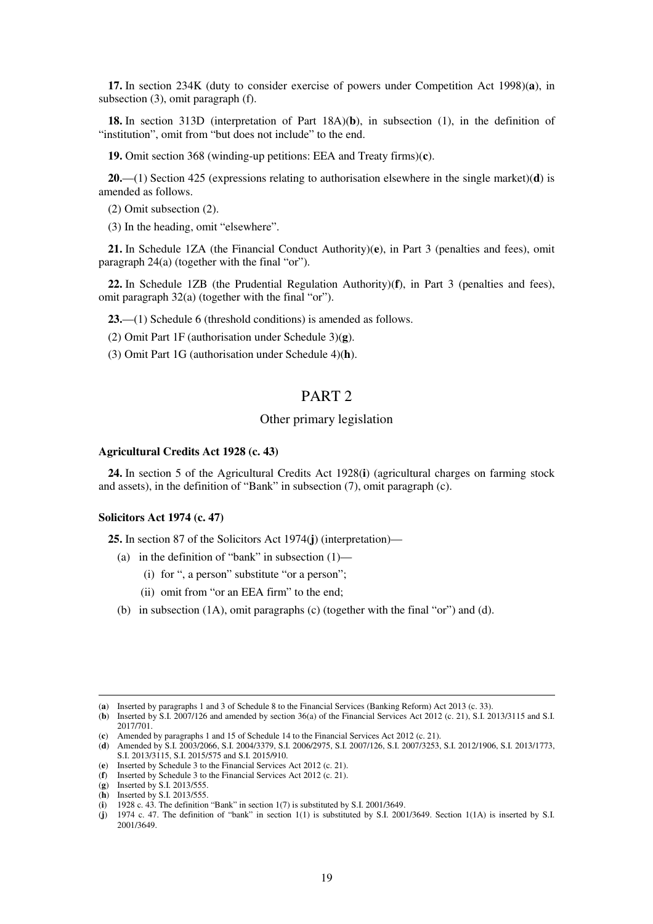**17.** In section 234K (duty to consider exercise of powers under Competition Act 1998)(**a**), in subsection (3), omit paragraph (f).

**18.** In section 313D (interpretation of Part 18A)(**b**), in subsection (1), in the definition of "institution", omit from "but does not include" to the end.

**19.** Omit section 368 (winding-up petitions: EEA and Treaty firms)(**c**).

**20.**—(1) Section 425 (expressions relating to authorisation elsewhere in the single market)(**d**) is amended as follows.

- (2) Omit subsection (2).
- (3) In the heading, omit "elsewhere".

**21.** In Schedule 1ZA (the Financial Conduct Authority)(**e**), in Part 3 (penalties and fees), omit paragraph 24(a) (together with the final "or").

**22.** In Schedule 1ZB (the Prudential Regulation Authority)(**f**), in Part 3 (penalties and fees), omit paragraph 32(a) (together with the final "or").

**23.**—(1) Schedule 6 (threshold conditions) is amended as follows.

(2) Omit Part 1F (authorisation under Schedule 3)(**g**).

(3) Omit Part 1G (authorisation under Schedule 4)(**h**).

## PART 2

## Other primary legislation

#### **Agricultural Credits Act 1928 (c. 43)**

**24.** In section 5 of the Agricultural Credits Act 1928(**i**) (agricultural charges on farming stock and assets), in the definition of "Bank" in subsection (7), omit paragraph (c).

### **Solicitors Act 1974 (c. 47)**

**25.** In section 87 of the Solicitors Act 1974(**j**) (interpretation)—

- (a) in the definition of "bank" in subsection  $(1)$ 
	- (i) for ", a person" substitute "or a person";
	- (ii) omit from "or an EEA firm" to the end;
- (b) in subsection (1A), omit paragraphs (c) (together with the final "or") and (d).

<sup>(</sup>**a**) Inserted by paragraphs 1 and 3 of Schedule 8 to the Financial Services (Banking Reform) Act 2013 (c. 33).

<sup>(</sup>**b**) Inserted by S.I. 2007/126 and amended by section 36(a) of the Financial Services Act 2012 (c. 21), S.I. 2013/3115 and S.I. 2017/701.

<sup>(</sup>**c**) Amended by paragraphs 1 and 15 of Schedule 14 to the Financial Services Act 2012 (c. 21).

<sup>(</sup>**d**) Amended by S.I. 2003/2066, S.I. 2004/3379, S.I. 2006/2975, S.I. 2007/126, S.I. 2007/3253, S.I. 2012/1906, S.I. 2013/1773,

S.I. 2013/3115, S.I. 2015/575 and S.I. 2015/910.

<sup>(</sup>**e**) Inserted by Schedule 3 to the Financial Services Act 2012 (c. 21). (**f**) Inserted by Schedule 3 to the Financial Services Act 2012 (c. 21).

<sup>(</sup>**g**) Inserted by S.I. 2013/555.

<sup>(</sup>**h**) Inserted by S.I. 2013/555.

 $(i)$  1928 c. 43. The definition "Bank" in section 1(7) is substituted by S.I. 2001/3649.

<sup>(</sup>**j**) 1974 c. 47. The definition of "bank" in section 1(1) is substituted by S.I. 2001/3649. Section 1(1A) is inserted by S.I. 2001/3649.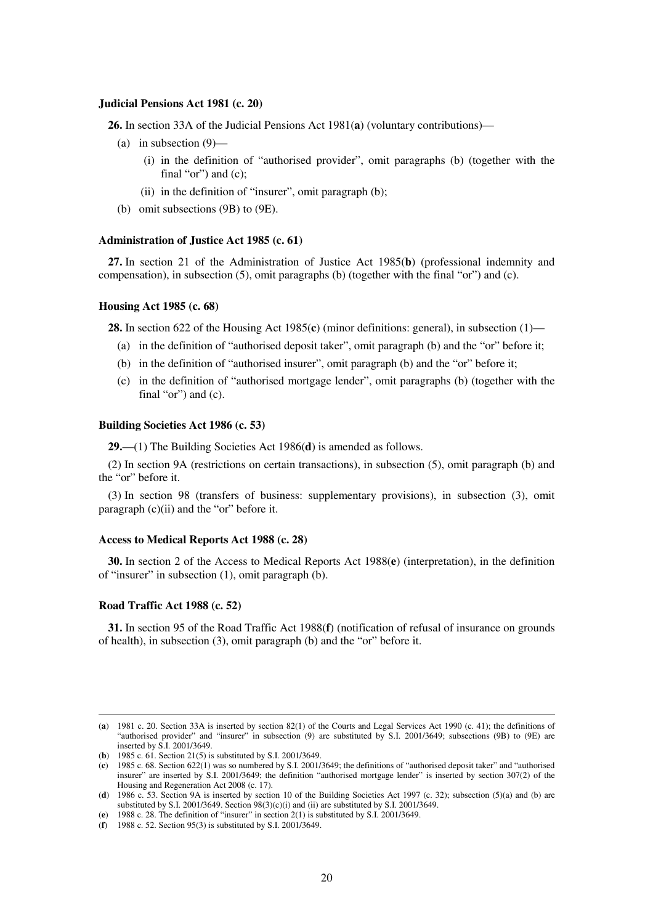#### **Judicial Pensions Act 1981 (c. 20)**

**26.** In section 33A of the Judicial Pensions Act 1981(**a**) (voluntary contributions)—

- (a) in subsection (9)—
	- (i) in the definition of "authorised provider", omit paragraphs (b) (together with the final "or") and (c);
	- (ii) in the definition of "insurer", omit paragraph (b);
- (b) omit subsections (9B) to (9E).

#### **Administration of Justice Act 1985 (c. 61)**

**27.** In section 21 of the Administration of Justice Act 1985(**b**) (professional indemnity and compensation), in subsection (5), omit paragraphs (b) (together with the final "or") and (c).

#### **Housing Act 1985 (c. 68)**

**28.** In section 622 of the Housing Act 1985(**c**) (minor definitions: general), in subsection (1)—

- (a) in the definition of "authorised deposit taker", omit paragraph (b) and the "or" before it;
- (b) in the definition of "authorised insurer", omit paragraph (b) and the "or" before it;
- (c) in the definition of "authorised mortgage lender", omit paragraphs (b) (together with the final "or") and (c).

#### **Building Societies Act 1986 (c. 53)**

**29.**—(1) The Building Societies Act 1986(**d**) is amended as follows.

(2) In section 9A (restrictions on certain transactions), in subsection (5), omit paragraph (b) and the "or" before it.

(3) In section 98 (transfers of business: supplementary provisions), in subsection (3), omit paragraph (c)(ii) and the "or" before it.

#### **Access to Medical Reports Act 1988 (c. 28)**

**30.** In section 2 of the Access to Medical Reports Act 1988(**e**) (interpretation), in the definition of "insurer" in subsection (1), omit paragraph (b).

#### **Road Traffic Act 1988 (c. 52)**

-

**31.** In section 95 of the Road Traffic Act 1988(**f**) (notification of refusal of insurance on grounds of health), in subsection (3), omit paragraph (b) and the "or" before it.

<sup>(</sup>**a**) 1981 c. 20. Section 33A is inserted by section 82(1) of the Courts and Legal Services Act 1990 (c. 41); the definitions of "authorised provider" and "insurer" in subsection (9) are substituted by S.I. 2001/3649; subsections (9B) to (9E) are inserted by S.I. 2001/3649.

<sup>(</sup>**b**) 1985 c. 61. Section 21(5) is substituted by S.I. 2001/3649.

<sup>(</sup>**c**) 1985 c. 68. Section 622(1) was so numbered by S.I. 2001/3649; the definitions of "authorised deposit taker" and "authorised insurer" are inserted by S.I. 2001/3649; the definition "authorised mortgage lender" is inserted by section 307(2) of the Housing and Regeneration Act 2008 (c. 17).

<sup>(</sup>**d**) 1986 c. 53. Section 9A is inserted by section 10 of the Building Societies Act 1997 (c. 32); subsection (5)(a) and (b) are substituted by S.I. 2001/3649. Section 98(3)(c)(i) and (ii) are substituted by S.I. 2001/3649.

<sup>(</sup>**e**) 1988 c. 28. The definition of "insurer" in section 2(1) is substituted by S.I. 2001/3649.

<sup>(</sup>**f**) 1988 c. 52. Section 95(3) is substituted by S.I. 2001/3649.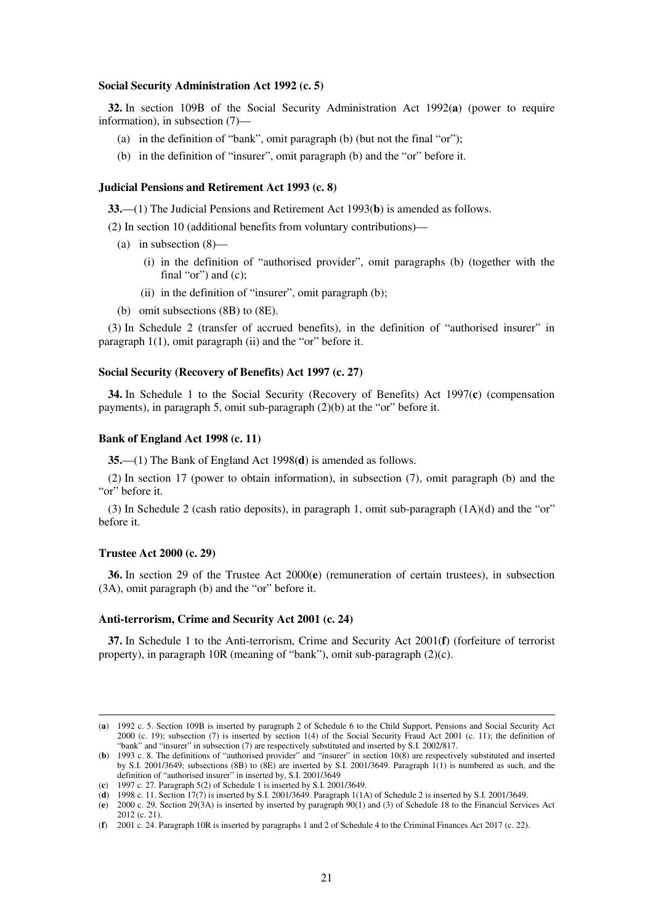#### **Social Security Administration Act 1992 (c. 5)**

**32.** In section 109B of the Social Security Administration Act 1992(**a**) (power to require information), in subsection (7)—

- (a) in the definition of "bank", omit paragraph (b) (but not the final "or");
- (b) in the definition of "insurer", omit paragraph (b) and the "or" before it.

#### **Judicial Pensions and Retirement Act 1993 (c. 8)**

**33.**—(1) The Judicial Pensions and Retirement Act 1993(**b**) is amended as follows.

(2) In section 10 (additional benefits from voluntary contributions)—

- (a) in subsection (8)—
	- (i) in the definition of "authorised provider", omit paragraphs (b) (together with the final "or") and  $(c)$ ;
	- (ii) in the definition of "insurer", omit paragraph (b);
- (b) omit subsections (8B) to (8E).

(3) In Schedule 2 (transfer of accrued benefits), in the definition of "authorised insurer" in paragraph 1(1), omit paragraph (ii) and the "or" before it.

#### **Social Security (Recovery of Benefits) Act 1997 (c. 27)**

**34.** In Schedule 1 to the Social Security (Recovery of Benefits) Act 1997(**c**) (compensation payments), in paragraph 5, omit sub-paragraph (2)(b) at the "or" before it.

#### **Bank of England Act 1998 (c. 11)**

**35.**—(1) The Bank of England Act 1998(**d**) is amended as follows.

(2) In section 17 (power to obtain information), in subsection (7), omit paragraph (b) and the "or" before it.

(3) In Schedule 2 (cash ratio deposits), in paragraph 1, omit sub-paragraph (1A)(d) and the "or" before it.

#### **Trustee Act 2000 (c. 29)**

-

**36.** In section 29 of the Trustee Act 2000(**e**) (remuneration of certain trustees), in subsection (3A), omit paragraph (b) and the "or" before it.

#### **Anti-terrorism, Crime and Security Act 2001 (c. 24)**

**37.** In Schedule 1 to the Anti-terrorism, Crime and Security Act 2001(**f**) (forfeiture of terrorist property), in paragraph 10R (meaning of "bank"), omit sub-paragraph (2)(c).

<sup>(</sup>**a**) 1992 c. 5. Section 109B is inserted by paragraph 2 of Schedule 6 to the Child Support, Pensions and Social Security Act 2000 (c. 19); subsection (7) is inserted by section 1(4) of the Social Security Fraud Act 2001 (c. 11); the definition of "bank" and "insurer" in subsection (7) are respectively substituted and inserted by S.I. 2002/817.

<sup>(</sup>**b**) 1993 c. 8. The definitions of "authorised provider" and "insurer" in section 10(8) are respectively substituted and inserted by S.I. 2001/3649; subsections (8B) to (8E) are inserted by S.I. 2001/3649. Paragraph 1(1) is numbered as such, and the definition of "authorised insurer" in inserted by, S.I. 2001/3649

<sup>(</sup>**c**) 1997 c. 27. Paragraph 5(2) of Schedule 1 is inserted by S.I. 2001/3649.

<sup>(</sup>**d**) 1998 c. 11. Section 17(7) is inserted by S.I. 2001/3649. Paragraph 1(1A) of Schedule 2 is inserted by S.I. 2001/3649.

<sup>(</sup>**e**) 2000 c. 29. Section 29(3A) is inserted by inserted by paragraph 90(1) and (3) of Schedule 18 to the Financial Services Act 2012 (c. 21).

<sup>(</sup>**f**) 2001 c. 24. Paragraph 10R is inserted by paragraphs 1 and 2 of Schedule 4 to the Criminal Finances Act 2017 (c. 22).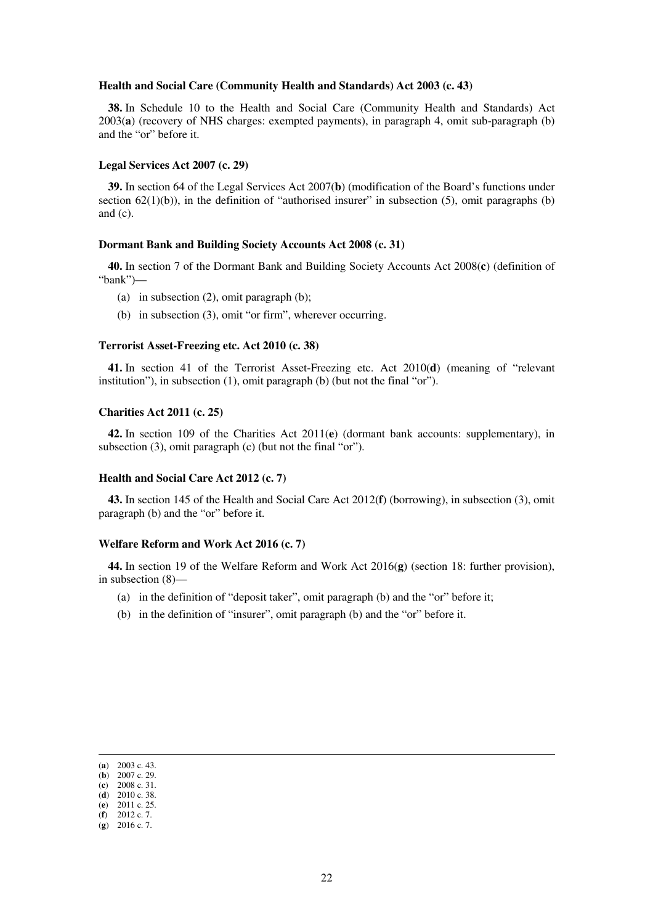#### **Health and Social Care (Community Health and Standards) Act 2003 (c. 43)**

**38.** In Schedule 10 to the Health and Social Care (Community Health and Standards) Act 2003(**a**) (recovery of NHS charges: exempted payments), in paragraph 4, omit sub-paragraph (b) and the "or" before it.

#### **Legal Services Act 2007 (c. 29)**

**39.** In section 64 of the Legal Services Act 2007(**b**) (modification of the Board's functions under section  $62(1)(b)$ ), in the definition of "authorised insurer" in subsection (5), omit paragraphs (b) and (c).

#### **Dormant Bank and Building Society Accounts Act 2008 (c. 31)**

**40.** In section 7 of the Dormant Bank and Building Society Accounts Act 2008(**c**) (definition of "bank")—

- (a) in subsection (2), omit paragraph (b);
- (b) in subsection (3), omit "or firm", wherever occurring.

### **Terrorist Asset-Freezing etc. Act 2010 (c. 38)**

**41.** In section 41 of the Terrorist Asset-Freezing etc. Act 2010(**d**) (meaning of "relevant institution"), in subsection (1), omit paragraph (b) (but not the final "or").

#### **Charities Act 2011 (c. 25)**

**42.** In section 109 of the Charities Act 2011(**e**) (dormant bank accounts: supplementary), in subsection (3), omit paragraph (c) (but not the final "or").

### **Health and Social Care Act 2012 (c. 7)**

**43.** In section 145 of the Health and Social Care Act 2012(**f**) (borrowing), in subsection (3), omit paragraph (b) and the "or" before it.

#### **Welfare Reform and Work Act 2016 (c. 7)**

**44.** In section 19 of the Welfare Reform and Work Act 2016(**g**) (section 18: further provision), in subsection (8)—

- (a) in the definition of "deposit taker", omit paragraph (b) and the "or" before it;
- (b) in the definition of "insurer", omit paragraph (b) and the "or" before it.

<sup>(</sup>**a**) 2003 c. 43.  $(b)$  2007 c. 29.

<sup>(</sup>**c**) 2008 c. 31.

<sup>(</sup>**d**) 2010 c. 38.

<sup>(</sup>**e**) 2011 c. 25.

<sup>(</sup>**f**) 2012 c. 7.

<sup>(</sup>**g**) 2016 c. 7.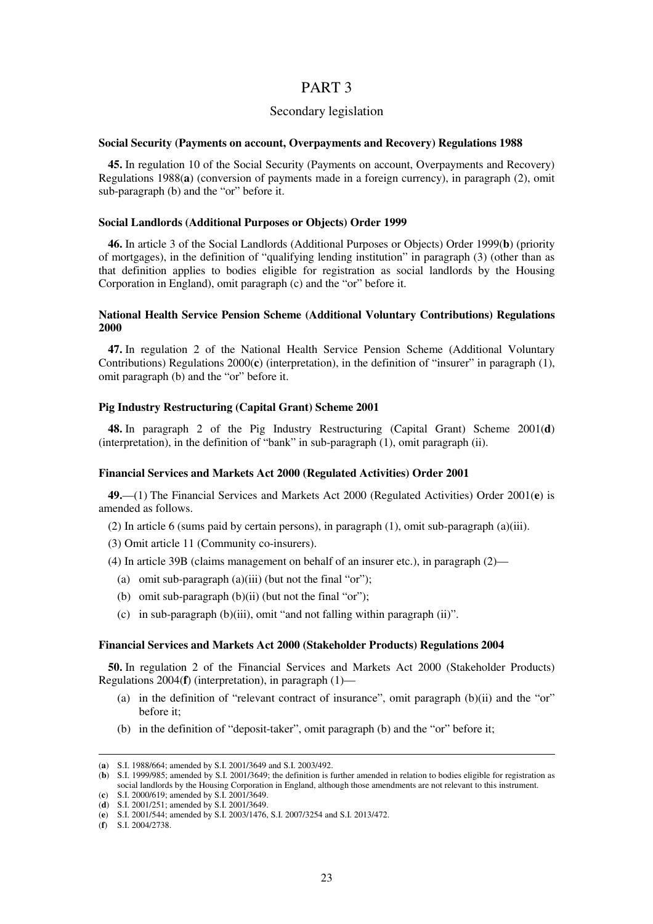## PART 3

## Secondary legislation

#### **Social Security (Payments on account, Overpayments and Recovery) Regulations 1988**

**45.** In regulation 10 of the Social Security (Payments on account, Overpayments and Recovery) Regulations 1988(**a**) (conversion of payments made in a foreign currency), in paragraph (2), omit sub-paragraph (b) and the "or" before it.

## **Social Landlords (Additional Purposes or Objects) Order 1999**

**46.** In article 3 of the Social Landlords (Additional Purposes or Objects) Order 1999(**b**) (priority of mortgages), in the definition of "qualifying lending institution" in paragraph (3) (other than as that definition applies to bodies eligible for registration as social landlords by the Housing Corporation in England), omit paragraph (c) and the "or" before it.

## **National Health Service Pension Scheme (Additional Voluntary Contributions) Regulations 2000**

**47.** In regulation 2 of the National Health Service Pension Scheme (Additional Voluntary Contributions) Regulations 2000(**c**) (interpretation), in the definition of "insurer" in paragraph (1), omit paragraph (b) and the "or" before it.

#### **Pig Industry Restructuring (Capital Grant) Scheme 2001**

**48.** In paragraph 2 of the Pig Industry Restructuring (Capital Grant) Scheme 2001(**d**) (interpretation), in the definition of "bank" in sub-paragraph (1), omit paragraph (ii).

#### **Financial Services and Markets Act 2000 (Regulated Activities) Order 2001**

**49.**—(1) The Financial Services and Markets Act 2000 (Regulated Activities) Order 2001(**e**) is amended as follows.

(2) In article 6 (sums paid by certain persons), in paragraph (1), omit sub-paragraph (a)(iii).

(3) Omit article 11 (Community co-insurers).

(4) In article 39B (claims management on behalf of an insurer etc.), in paragraph (2)—

- (a) omit sub-paragraph  $(a)(iii)$  (but not the final "or");
- (b) omit sub-paragraph  $(b)(ii)$  (but not the final "or");
- (c) in sub-paragraph  $(b)(iii)$ , omit "and not falling within paragraph  $(ii)$ ".

#### **Financial Services and Markets Act 2000 (Stakeholder Products) Regulations 2004**

**50.** In regulation 2 of the Financial Services and Markets Act 2000 (Stakeholder Products) Regulations 2004(**f**) (interpretation), in paragraph (1)—

- (a) in the definition of "relevant contract of insurance", omit paragraph (b)(ii) and the "or" before it;
- (b) in the definition of "deposit-taker", omit paragraph (b) and the "or" before it;

<sup>(</sup>**a**) S.I. 1988/664; amended by S.I. 2001/3649 and S.I. 2003/492.

<sup>(</sup>**b**) S.I. 1999/985; amended by S.I. 2001/3649; the definition is further amended in relation to bodies eligible for registration as social landlords by the Housing Corporation in England, although those amendments are not relevant to this instrument.

<sup>(</sup>**c**) S.I. 2000/619; amended by S.I. 2001/3649.

<sup>(</sup>**d**) S.I. 2001/251; amended by S.I. 2001/3649.

<sup>(</sup>**e**) S.I. 2001/544; amended by S.I. 2003/1476, S.I. 2007/3254 and S.I. 2013/472.

<sup>(</sup>**f**) S.I. 2004/2738.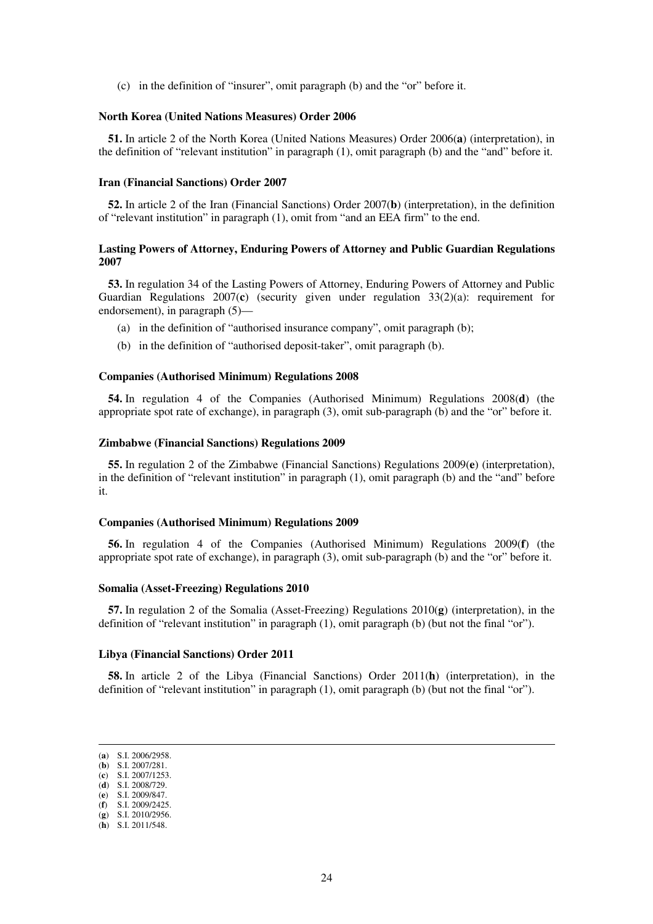(c) in the definition of "insurer", omit paragraph (b) and the "or" before it.

#### **North Korea (United Nations Measures) Order 2006**

**51.** In article 2 of the North Korea (United Nations Measures) Order 2006(**a**) (interpretation), in the definition of "relevant institution" in paragraph (1), omit paragraph (b) and the "and" before it.

#### **Iran (Financial Sanctions) Order 2007**

**52.** In article 2 of the Iran (Financial Sanctions) Order 2007(**b**) (interpretation), in the definition of "relevant institution" in paragraph (1), omit from "and an EEA firm" to the end.

## **Lasting Powers of Attorney, Enduring Powers of Attorney and Public Guardian Regulations 2007**

**53.** In regulation 34 of the Lasting Powers of Attorney, Enduring Powers of Attorney and Public Guardian Regulations 2007(**c**) (security given under regulation 33(2)(a): requirement for endorsement), in paragraph (5)—

- (a) in the definition of "authorised insurance company", omit paragraph (b);
- (b) in the definition of "authorised deposit-taker", omit paragraph (b).

#### **Companies (Authorised Minimum) Regulations 2008**

**54.** In regulation 4 of the Companies (Authorised Minimum) Regulations 2008(**d**) (the appropriate spot rate of exchange), in paragraph (3), omit sub-paragraph (b) and the "or" before it.

#### **Zimbabwe (Financial Sanctions) Regulations 2009**

**55.** In regulation 2 of the Zimbabwe (Financial Sanctions) Regulations 2009(**e**) (interpretation), in the definition of "relevant institution" in paragraph (1), omit paragraph (b) and the "and" before it.

#### **Companies (Authorised Minimum) Regulations 2009**

**56.** In regulation 4 of the Companies (Authorised Minimum) Regulations 2009(**f**) (the appropriate spot rate of exchange), in paragraph (3), omit sub-paragraph (b) and the "or" before it.

#### **Somalia (Asset-Freezing) Regulations 2010**

**57.** In regulation 2 of the Somalia (Asset-Freezing) Regulations 2010(**g**) (interpretation), in the definition of "relevant institution" in paragraph (1), omit paragraph (b) (but not the final "or").

#### **Libya (Financial Sanctions) Order 2011**

**58.** In article 2 of the Libya (Financial Sanctions) Order 2011(**h**) (interpretation), in the definition of "relevant institution" in paragraph (1), omit paragraph (b) (but not the final "or").

<sup>(</sup>**a**) S.I. 2006/2958.

<sup>(</sup>**b**) S.I. 2007/281. (**c**) S.I. 2007/1253.

<sup>(</sup>**d**) S.I. 2008/729.

<sup>(</sup>**e**) S.I. 2009/847.

<sup>(</sup>**f**) S.I. 2009/2425.

<sup>(</sup>**g**) S.I. 2010/2956.

<sup>(</sup>**h**) S.I. 2011/548.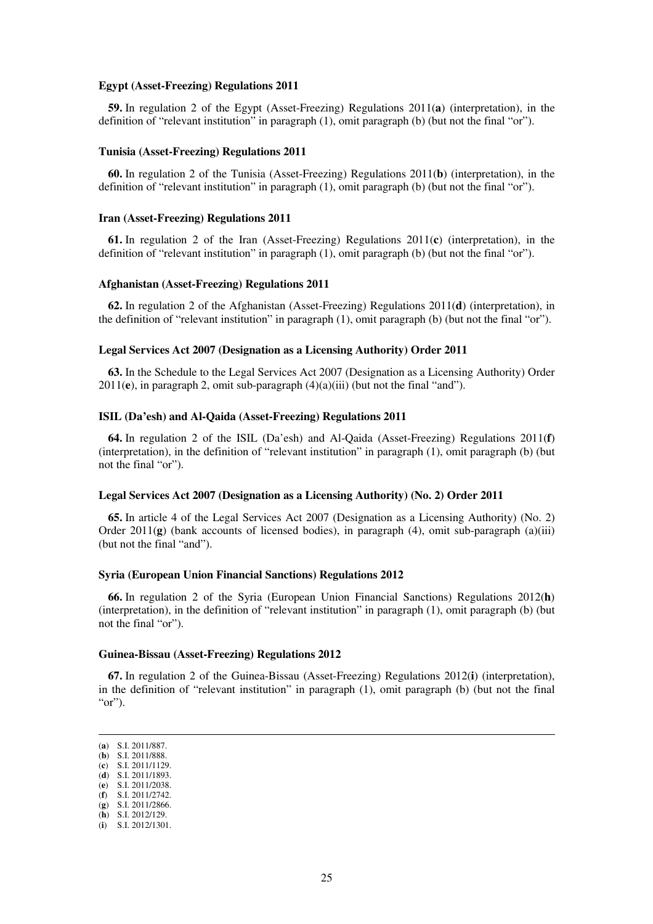#### **Egypt (Asset-Freezing) Regulations 2011**

**59.** In regulation 2 of the Egypt (Asset-Freezing) Regulations 2011(**a**) (interpretation), in the definition of "relevant institution" in paragraph (1), omit paragraph (b) (but not the final "or").

#### **Tunisia (Asset-Freezing) Regulations 2011**

**60.** In regulation 2 of the Tunisia (Asset-Freezing) Regulations 2011(**b**) (interpretation), in the definition of "relevant institution" in paragraph (1), omit paragraph (b) (but not the final "or").

#### **Iran (Asset-Freezing) Regulations 2011**

**61.** In regulation 2 of the Iran (Asset-Freezing) Regulations 2011(**c**) (interpretation), in the definition of "relevant institution" in paragraph (1), omit paragraph (b) (but not the final "or").

#### **Afghanistan (Asset-Freezing) Regulations 2011**

**62.** In regulation 2 of the Afghanistan (Asset-Freezing) Regulations 2011(**d**) (interpretation), in the definition of "relevant institution" in paragraph (1), omit paragraph (b) (but not the final "or").

## **Legal Services Act 2007 (Designation as a Licensing Authority) Order 2011**

**63.** In the Schedule to the Legal Services Act 2007 (Designation as a Licensing Authority) Order 2011(**e**), in paragraph 2, omit sub-paragraph (4)(a)(iii) (but not the final "and").

### **ISIL (Da'esh) and Al-Qaida (Asset-Freezing) Regulations 2011**

**64.** In regulation 2 of the ISIL (Da'esh) and Al-Qaida (Asset-Freezing) Regulations 2011(**f**) (interpretation), in the definition of "relevant institution" in paragraph (1), omit paragraph (b) (but not the final "or").

#### **Legal Services Act 2007 (Designation as a Licensing Authority) (No. 2) Order 2011**

**65.** In article 4 of the Legal Services Act 2007 (Designation as a Licensing Authority) (No. 2) Order 2011(**g**) (bank accounts of licensed bodies), in paragraph (4), omit sub-paragraph (a)(iii) (but not the final "and").

#### **Syria (European Union Financial Sanctions) Regulations 2012**

**66.** In regulation 2 of the Syria (European Union Financial Sanctions) Regulations 2012(**h**) (interpretation), in the definition of "relevant institution" in paragraph (1), omit paragraph (b) (but not the final "or").

#### **Guinea-Bissau (Asset-Freezing) Regulations 2012**

**67.** In regulation 2 of the Guinea-Bissau (Asset-Freezing) Regulations 2012(**i**) (interpretation), in the definition of "relevant institution" in paragraph (1), omit paragraph (b) (but not the final "or").

(**a**) S.I. 2011/887.

- (**b**) S.I. 2011/888. (**c**) S.I. 2011/1129.
- (**d**) S.I. 2011/1893.
- (**e**) S.I. 2011/2038.
- (**f**) S.I. 2011/2742.

<sup>(</sup>**g**) S.I. 2011/2866.

<sup>(</sup>**h**) S.I. 2012/129.

<sup>(</sup>**i**) S.I. 2012/1301.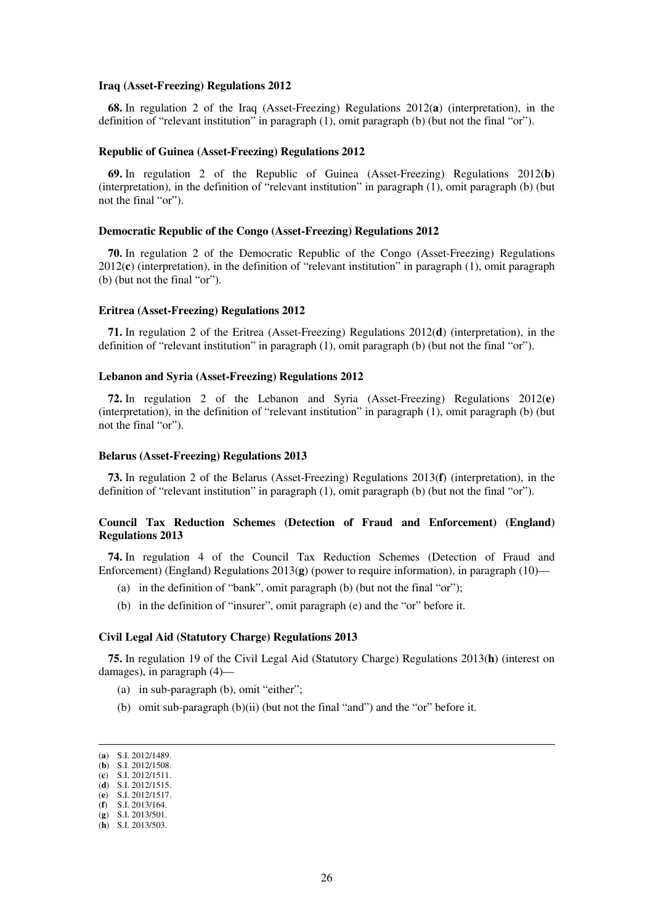#### **Iraq (Asset-Freezing) Regulations 2012**

**68.** In regulation 2 of the Iraq (Asset-Freezing) Regulations 2012(**a**) (interpretation), in the definition of "relevant institution" in paragraph (1), omit paragraph (b) (but not the final "or").

#### **Republic of Guinea (Asset-Freezing) Regulations 2012**

**69.** In regulation 2 of the Republic of Guinea (Asset-Freezing) Regulations 2012(**b**) (interpretation), in the definition of "relevant institution" in paragraph (1), omit paragraph (b) (but not the final "or").

#### **Democratic Republic of the Congo (Asset-Freezing) Regulations 2012**

**70.** In regulation 2 of the Democratic Republic of the Congo (Asset-Freezing) Regulations 2012(**c**) (interpretation), in the definition of "relevant institution" in paragraph (1), omit paragraph (b) (but not the final "or").

#### **Eritrea (Asset-Freezing) Regulations 2012**

**71.** In regulation 2 of the Eritrea (Asset-Freezing) Regulations 2012(**d**) (interpretation), in the definition of "relevant institution" in paragraph (1), omit paragraph (b) (but not the final "or").

#### **Lebanon and Syria (Asset-Freezing) Regulations 2012**

**72.** In regulation 2 of the Lebanon and Syria (Asset-Freezing) Regulations 2012(**e**) (interpretation), in the definition of "relevant institution" in paragraph (1), omit paragraph (b) (but not the final "or").

#### **Belarus (Asset-Freezing) Regulations 2013**

**73.** In regulation 2 of the Belarus (Asset-Freezing) Regulations 2013(**f**) (interpretation), in the definition of "relevant institution" in paragraph (1), omit paragraph (b) (but not the final "or").

## **Council Tax Reduction Schemes (Detection of Fraud and Enforcement) (England) Regulations 2013**

**74.** In regulation 4 of the Council Tax Reduction Schemes (Detection of Fraud and Enforcement) (England) Regulations 2013(**g**) (power to require information), in paragraph (10)—

- (a) in the definition of "bank", omit paragraph (b) (but not the final "or");
- (b) in the definition of "insurer", omit paragraph (e) and the "or" before it.

#### **Civil Legal Aid (Statutory Charge) Regulations 2013**

**75.** In regulation 19 of the Civil Legal Aid (Statutory Charge) Regulations 2013(**h**) (interest on damages), in paragraph (4)—

- (a) in sub-paragraph (b), omit "either";
- (b) omit sub-paragraph (b)(ii) (but not the final "and") and the "or" before it.

<sup>(</sup>**a**) S.I. 2012/1489.

<sup>(</sup>**b**) S.I. 2012/1508. (**c**) S.I. 2012/1511.

<sup>(</sup>**d**) S.I. 2012/1515.

<sup>(</sup>**e**) S.I. 2012/1517.

<sup>(</sup>**f**) S.I. 2013/164.

<sup>(</sup>**g**) S.I. 2013/501.

<sup>(</sup>**h**) S.I. 2013/503.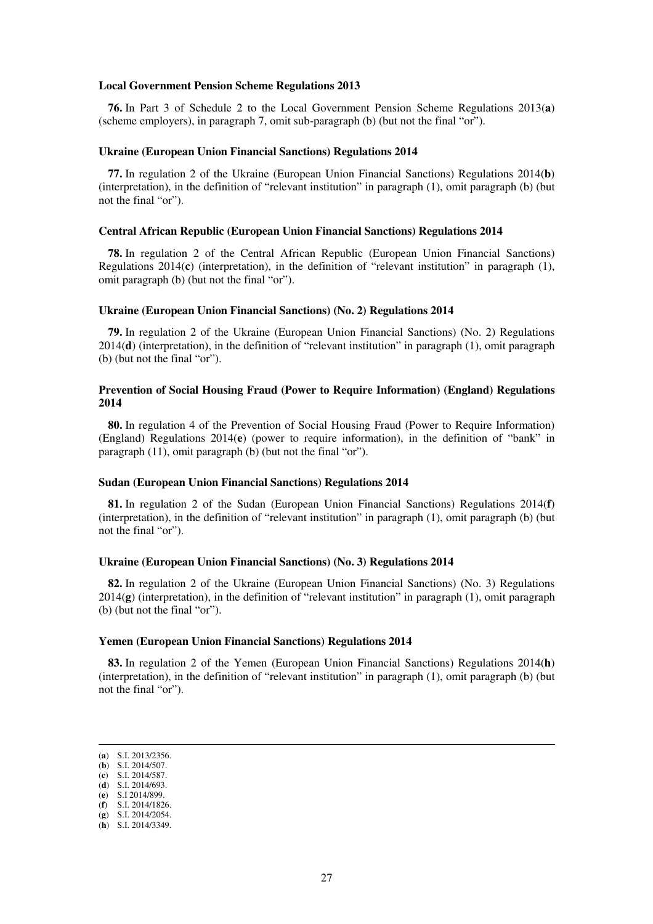#### **Local Government Pension Scheme Regulations 2013**

**76.** In Part 3 of Schedule 2 to the Local Government Pension Scheme Regulations 2013(**a**) (scheme employers), in paragraph 7, omit sub-paragraph (b) (but not the final "or").

#### **Ukraine (European Union Financial Sanctions) Regulations 2014**

**77.** In regulation 2 of the Ukraine (European Union Financial Sanctions) Regulations 2014(**b**) (interpretation), in the definition of "relevant institution" in paragraph (1), omit paragraph (b) (but not the final "or").

#### **Central African Republic (European Union Financial Sanctions) Regulations 2014**

**78.** In regulation 2 of the Central African Republic (European Union Financial Sanctions) Regulations 2014(**c**) (interpretation), in the definition of "relevant institution" in paragraph (1), omit paragraph (b) (but not the final "or").

#### **Ukraine (European Union Financial Sanctions) (No. 2) Regulations 2014**

**79.** In regulation 2 of the Ukraine (European Union Financial Sanctions) (No. 2) Regulations 2014(**d**) (interpretation), in the definition of "relevant institution" in paragraph (1), omit paragraph (b) (but not the final "or").

### **Prevention of Social Housing Fraud (Power to Require Information) (England) Regulations 2014**

**80.** In regulation 4 of the Prevention of Social Housing Fraud (Power to Require Information) (England) Regulations 2014(**e**) (power to require information), in the definition of "bank" in paragraph (11), omit paragraph (b) (but not the final "or").

#### **Sudan (European Union Financial Sanctions) Regulations 2014**

**81.** In regulation 2 of the Sudan (European Union Financial Sanctions) Regulations 2014(**f**) (interpretation), in the definition of "relevant institution" in paragraph (1), omit paragraph (b) (but not the final "or").

### **Ukraine (European Union Financial Sanctions) (No. 3) Regulations 2014**

**82.** In regulation 2 of the Ukraine (European Union Financial Sanctions) (No. 3) Regulations 2014(**g**) (interpretation), in the definition of "relevant institution" in paragraph (1), omit paragraph (b) (but not the final "or").

## **Yemen (European Union Financial Sanctions) Regulations 2014**

**83.** In regulation 2 of the Yemen (European Union Financial Sanctions) Regulations 2014(**h**) (interpretation), in the definition of "relevant institution" in paragraph (1), omit paragraph (b) (but not the final "or").

<sup>(</sup>**a**) S.I. 2013/2356.

<sup>(</sup>**b**) S.I. 2014/507.

<sup>(</sup>**c**) S.I. 2014/587. (**d**) S.I. 2014/693.

<sup>(</sup>**e**) S.I 2014/899.

<sup>(</sup>**f**) S.I. 2014/1826. (**g**) S.I. 2014/2054.

<sup>(</sup>**h**) S.I. 2014/3349.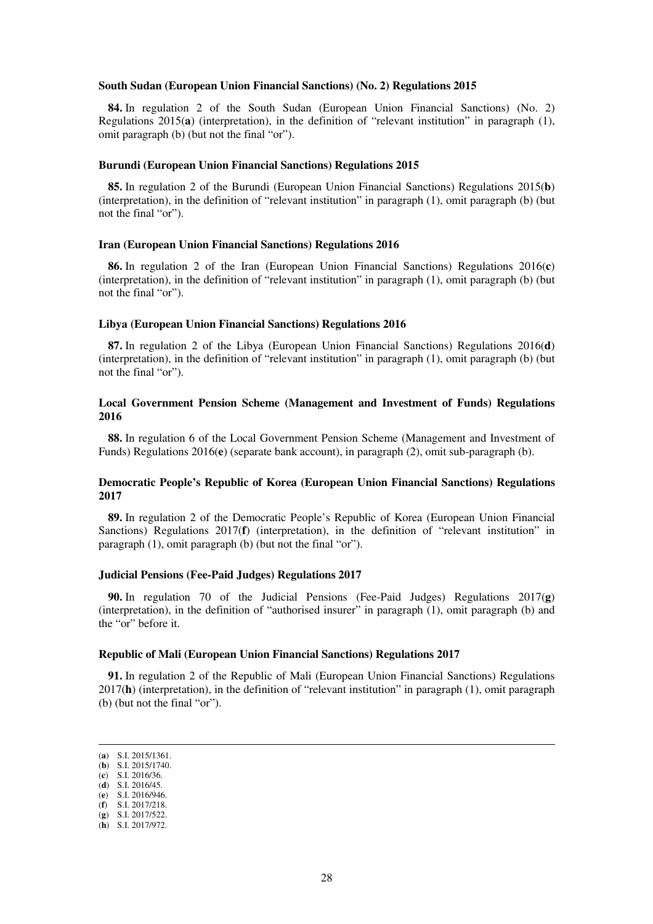#### **South Sudan (European Union Financial Sanctions) (No. 2) Regulations 2015**

**84.** In regulation 2 of the South Sudan (European Union Financial Sanctions) (No. 2) Regulations 2015(**a**) (interpretation), in the definition of "relevant institution" in paragraph (1), omit paragraph (b) (but not the final "or").

#### **Burundi (European Union Financial Sanctions) Regulations 2015**

**85.** In regulation 2 of the Burundi (European Union Financial Sanctions) Regulations 2015(**b**) (interpretation), in the definition of "relevant institution" in paragraph (1), omit paragraph (b) (but not the final "or").

#### **Iran (European Union Financial Sanctions) Regulations 2016**

**86.** In regulation 2 of the Iran (European Union Financial Sanctions) Regulations 2016(**c**) (interpretation), in the definition of "relevant institution" in paragraph (1), omit paragraph (b) (but not the final "or").

#### **Libya (European Union Financial Sanctions) Regulations 2016**

**87.** In regulation 2 of the Libya (European Union Financial Sanctions) Regulations 2016(**d**) (interpretation), in the definition of "relevant institution" in paragraph (1), omit paragraph (b) (but not the final "or").

## **Local Government Pension Scheme (Management and Investment of Funds) Regulations 2016**

**88.** In regulation 6 of the Local Government Pension Scheme (Management and Investment of Funds) Regulations 2016(**e**) (separate bank account), in paragraph (2), omit sub-paragraph (b).

### **Democratic People's Republic of Korea (European Union Financial Sanctions) Regulations 2017**

**89.** In regulation 2 of the Democratic People's Republic of Korea (European Union Financial Sanctions) Regulations 2017(**f**) (interpretation), in the definition of "relevant institution" in paragraph (1), omit paragraph (b) (but not the final "or").

#### **Judicial Pensions (Fee-Paid Judges) Regulations 2017**

**90.** In regulation 70 of the Judicial Pensions (Fee-Paid Judges) Regulations 2017(**g**) (interpretation), in the definition of "authorised insurer" in paragraph (1), omit paragraph (b) and the "or" before it.

#### **Republic of Mali (European Union Financial Sanctions) Regulations 2017**

**91.** In regulation 2 of the Republic of Mali (European Union Financial Sanctions) Regulations 2017(**h**) (interpretation), in the definition of "relevant institution" in paragraph (1), omit paragraph (b) (but not the final "or").

<sup>(</sup>**a**) S.I. 2015/1361.

<sup>(</sup>**b**) S.I. 2015/1740. (**c**) S.I. 2016/36.

<sup>(</sup>**d**) S.I. 2016/45.

<sup>(</sup>**e**) S.I. 2016/946.

<sup>(</sup>**f**) S.I. 2017/218.

<sup>(</sup>**g**) S.I. 2017/522.

<sup>(</sup>**h**) S.I. 2017/972.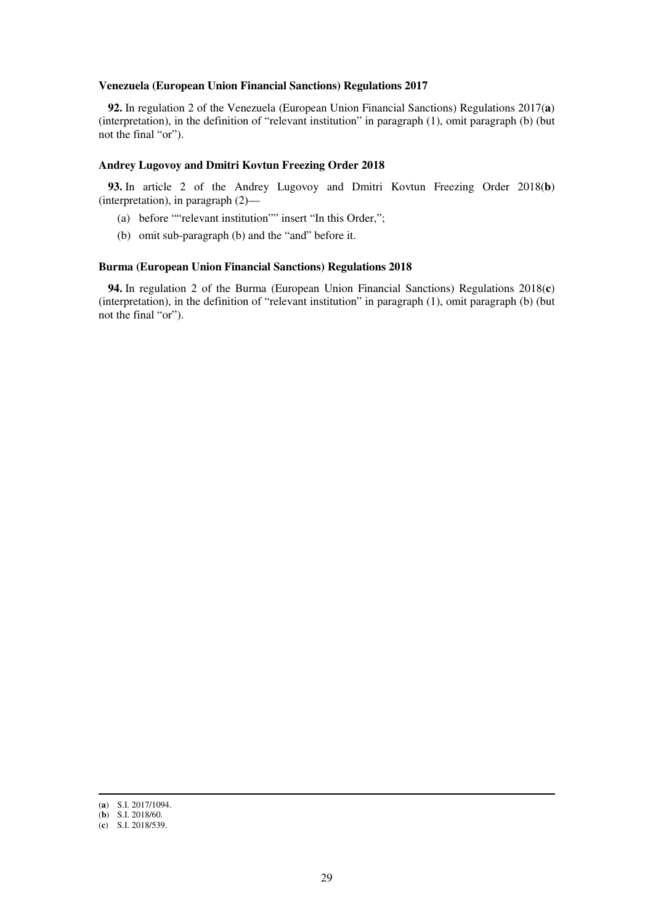#### **Venezuela (European Union Financial Sanctions) Regulations 2017**

**92.** In regulation 2 of the Venezuela (European Union Financial Sanctions) Regulations 2017(**a**) (interpretation), in the definition of "relevant institution" in paragraph (1), omit paragraph (b) (but not the final "or").

#### **Andrey Lugovoy and Dmitri Kovtun Freezing Order 2018**

**93.** In article 2 of the Andrey Lugovoy and Dmitri Kovtun Freezing Order 2018(**b**) (interpretation), in paragraph (2)—

- (a) before ""relevant institution"" insert "In this Order,";
- (b) omit sub-paragraph (b) and the "and" before it.

#### **Burma (European Union Financial Sanctions) Regulations 2018**

**94.** In regulation 2 of the Burma (European Union Financial Sanctions) Regulations 2018(**c**) (interpretation), in the definition of "relevant institution" in paragraph (1), omit paragraph (b) (but not the final "or").

<sup>(</sup>**a**) S.I. 2017/1094.

<sup>(</sup>**b**) S.I. 2018/60.

<sup>(</sup>**c**) S.I. 2018/539.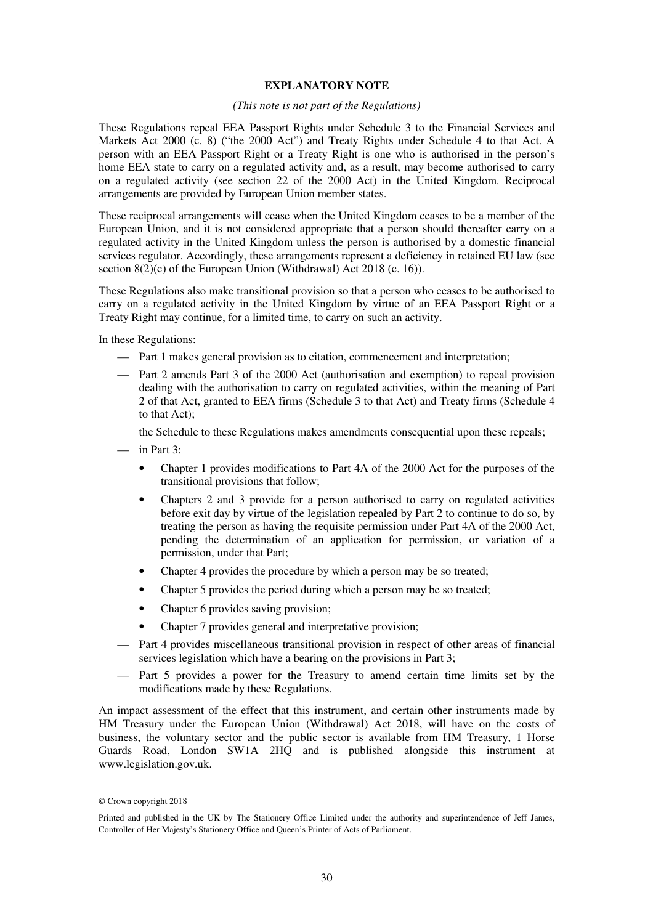### **EXPLANATORY NOTE**

#### *(This note is not part of the Regulations)*

These Regulations repeal EEA Passport Rights under Schedule 3 to the Financial Services and Markets Act 2000 (c. 8) ("the 2000 Act") and Treaty Rights under Schedule 4 to that Act. A person with an EEA Passport Right or a Treaty Right is one who is authorised in the person's home EEA state to carry on a regulated activity and, as a result, may become authorised to carry on a regulated activity (see section 22 of the 2000 Act) in the United Kingdom. Reciprocal arrangements are provided by European Union member states.

These reciprocal arrangements will cease when the United Kingdom ceases to be a member of the European Union, and it is not considered appropriate that a person should thereafter carry on a regulated activity in the United Kingdom unless the person is authorised by a domestic financial services regulator. Accordingly, these arrangements represent a deficiency in retained EU law (see section 8(2)(c) of the European Union (Withdrawal) Act 2018 (c. 16)).

These Regulations also make transitional provision so that a person who ceases to be authorised to carry on a regulated activity in the United Kingdom by virtue of an EEA Passport Right or a Treaty Right may continue, for a limited time, to carry on such an activity.

In these Regulations:

- Part 1 makes general provision as to citation, commencement and interpretation;
- Part 2 amends Part 3 of the 2000 Act (authorisation and exemption) to repeal provision dealing with the authorisation to carry on regulated activities, within the meaning of Part 2 of that Act, granted to EEA firms (Schedule 3 to that Act) and Treaty firms (Schedule 4 to that Act);

the Schedule to these Regulations makes amendments consequential upon these repeals;

- in Part 3:
	- Chapter 1 provides modifications to Part 4A of the 2000 Act for the purposes of the transitional provisions that follow;
	- Chapters 2 and 3 provide for a person authorised to carry on regulated activities before exit day by virtue of the legislation repealed by Part 2 to continue to do so, by treating the person as having the requisite permission under Part 4A of the 2000 Act, pending the determination of an application for permission, or variation of a permission, under that Part;
	- Chapter 4 provides the procedure by which a person may be so treated;
	- Chapter 5 provides the period during which a person may be so treated;
	- Chapter 6 provides saving provision;
	- Chapter 7 provides general and interpretative provision;
- Part 4 provides miscellaneous transitional provision in respect of other areas of financial services legislation which have a bearing on the provisions in Part 3;
- Part 5 provides a power for the Treasury to amend certain time limits set by the modifications made by these Regulations.

An impact assessment of the effect that this instrument, and certain other instruments made by HM Treasury under the European Union (Withdrawal) Act 2018, will have on the costs of business, the voluntary sector and the public sector is available from HM Treasury, 1 Horse Guards Road, London SW1A 2HO and is published alongside this instrument at www.legislation.gov.uk.

<sup>©</sup> Crown copyright 2018

Printed and published in the UK by The Stationery Office Limited under the authority and superintendence of Jeff James, Controller of Her Majesty's Stationery Office and Queen's Printer of Acts of Parliament.